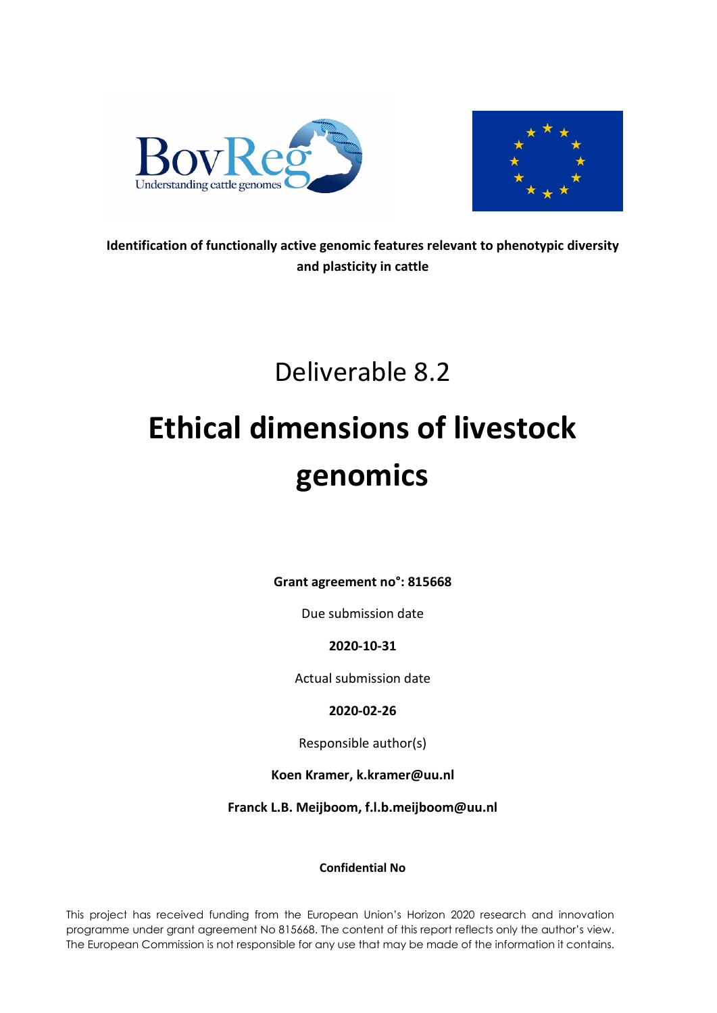



**Identification of functionally active genomic features relevant to phenotypic diversity and plasticity in cattle**

# Deliverable 8.2

# **Ethical dimensions of livestock genomics**

**Grant agreement no°: 815668**

Due submission date

**2020-10-31**

Actual submission date

**2020-02-26**

Responsible author(s)

**Koen Kramer, k.kramer@uu.nl**

**Franck L.B. Meijboom, f.l.b.meijboom@uu.nl**

# **Confidential No**

This project has received funding from the European Union's Horizon 2020 research and innovation programme under grant agreement No 815668. The content of this report reflects only the author's view. The European Commission is not responsible for any use that may be made of the information it contains.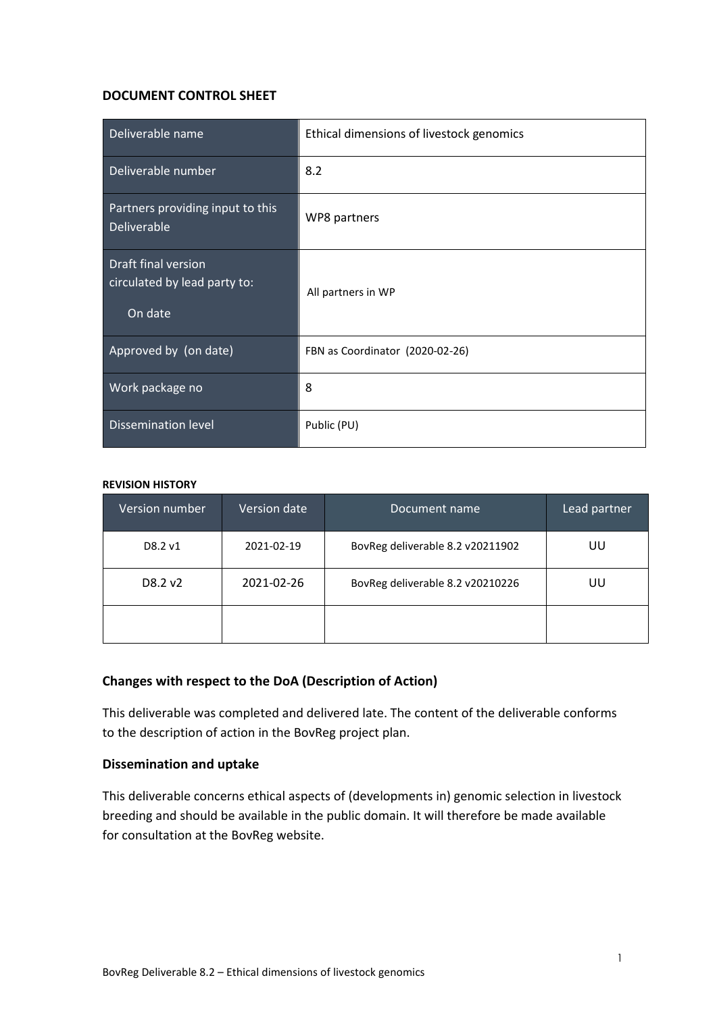#### **DOCUMENT CONTROL SHEET**

| Deliverable name                                               | Ethical dimensions of livestock genomics |  |
|----------------------------------------------------------------|------------------------------------------|--|
| Deliverable number                                             | 8.2                                      |  |
| Partners providing input to this<br>Deliverable                | WP8 partners                             |  |
| Draft final version<br>circulated by lead party to:<br>On date | All partners in WP                       |  |
| Approved by (on date)                                          | FBN as Coordinator (2020-02-26)          |  |
| Work package no                                                | 8                                        |  |
| <b>Dissemination level</b>                                     | Public (PU)                              |  |

#### **REVISION HISTORY**

| <b>Version number</b> | <b>Version date</b>                            | Document name                    | Lead partner |
|-----------------------|------------------------------------------------|----------------------------------|--------------|
| D8.2 v1               | 2021-02-19                                     | BovReg deliverable 8.2 v20211902 | UU           |
| D8.2 v2               | 2021-02-26<br>BovReg deliverable 8.2 v20210226 |                                  | UU           |
|                       |                                                |                                  |              |

#### **Changes with respect to the DoA (Description of Action)**

This deliverable was completed and delivered late. The content of the deliverable conforms to the description of action in the BovReg project plan.

#### **Dissemination and uptake**

This deliverable concerns ethical aspects of (developments in) genomic selection in livestock breeding and should be available in the public domain. It will therefore be made available for consultation at the BovReg website.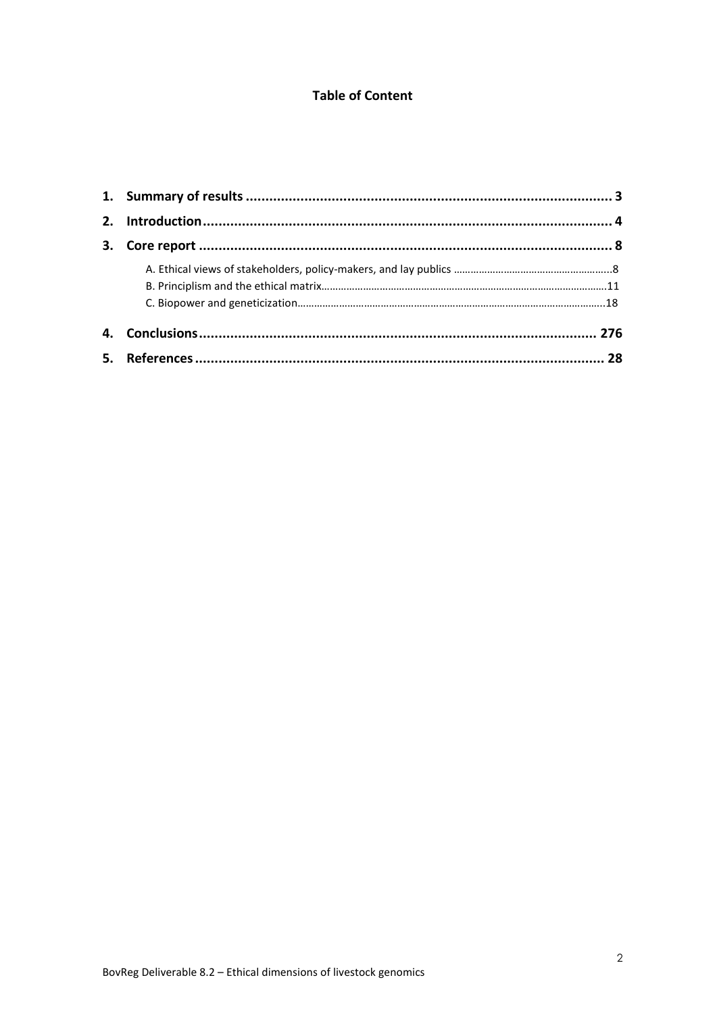# **Table of Content**

<span id="page-2-0"></span>

| 2. |  |
|----|--|
|    |  |
|    |  |
|    |  |
|    |  |
|    |  |
|    |  |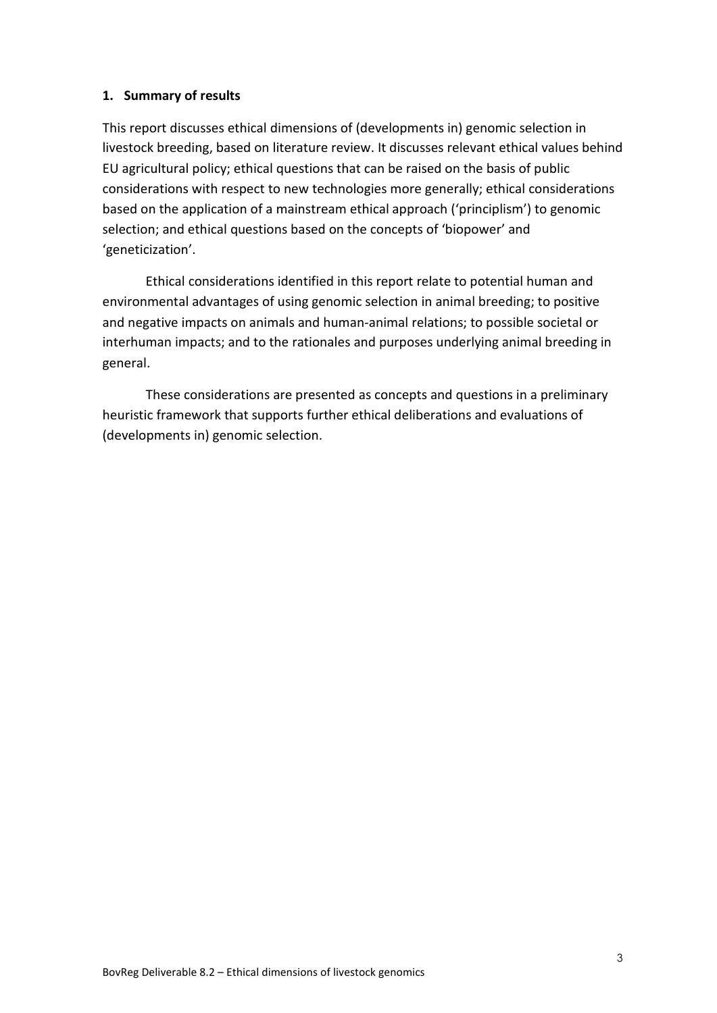#### **1. Summary of results**

This report discusses ethical dimensions of (developments in) genomic selection in livestock breeding, based on literature review. It discusses relevant ethical values behind EU agricultural policy; ethical questions that can be raised on the basis of public considerations with respect to new technologies more generally; ethical considerations based on the application of a mainstream ethical approach ('principlism') to genomic selection; and ethical questions based on the concepts of 'biopower' and 'geneticization'.

Ethical considerations identified in this report relate to potential human and environmental advantages of using genomic selection in animal breeding; to positive and negative impacts on animals and human-animal relations; to possible societal or interhuman impacts; and to the rationales and purposes underlying animal breeding in general.

These considerations are presented as concepts and questions in a preliminary heuristic framework that supports further ethical deliberations and evaluations of (developments in) genomic selection.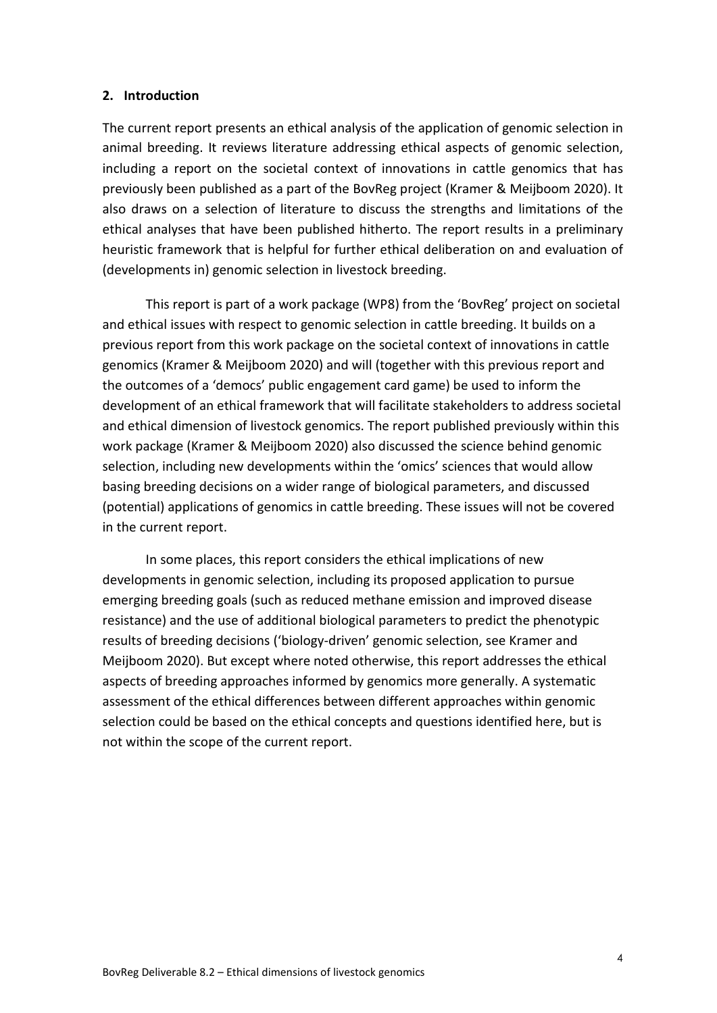#### <span id="page-4-0"></span>**2. Introduction**

The current report presents an ethical analysis of the application of genomic selection in animal breeding. It reviews literature addressing ethical aspects of genomic selection, including a report on the societal context of innovations in cattle genomics that has previously been published as a part of the BovReg project (Kramer & Meijboom 2020). It also draws on a selection of literature to discuss the strengths and limitations of the ethical analyses that have been published hitherto. The report results in a preliminary heuristic framework that is helpful for further ethical deliberation on and evaluation of (developments in) genomic selection in livestock breeding.

This report is part of a work package (WP8) from the 'BovReg' project on societal and ethical issues with respect to genomic selection in cattle breeding. It builds on a previous report from this work package on the societal context of innovations in cattle genomics (Kramer & Meijboom 2020) and will (together with this previous report and the outcomes of a 'democs' public engagement card game) be used to inform the development of an ethical framework that will facilitate stakeholders to address societal and ethical dimension of livestock genomics. The report published previously within this work package (Kramer & Meijboom 2020) also discussed the science behind genomic selection, including new developments within the 'omics' sciences that would allow basing breeding decisions on a wider range of biological parameters, and discussed (potential) applications of genomics in cattle breeding. These issues will not be covered in the current report.

In some places, this report considers the ethical implications of new developments in genomic selection, including its proposed application to pursue emerging breeding goals (such as reduced methane emission and improved disease resistance) and the use of additional biological parameters to predict the phenotypic results of breeding decisions ('biology-driven' genomic selection, see Kramer and Meijboom 2020). But except where noted otherwise, this report addresses the ethical aspects of breeding approaches informed by genomics more generally. A systematic assessment of the ethical differences between different approaches within genomic selection could be based on the ethical concepts and questions identified here, but is not within the scope of the current report.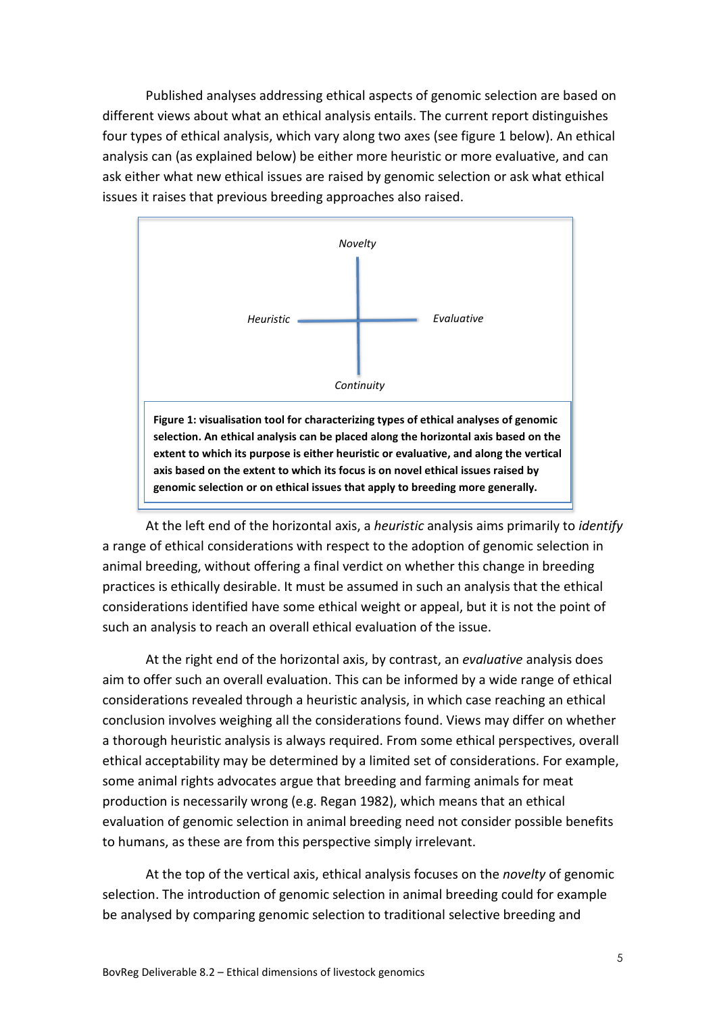Published analyses addressing ethical aspects of genomic selection are based on different views about what an ethical analysis entails. The current report distinguishes four types of ethical analysis, which vary along two axes (see figure 1 below). An ethical analysis can (as explained below) be either more heuristic or more evaluative, and can ask either what new ethical issues are raised by genomic selection or ask what ethical issues it raises that previous breeding approaches also raised.



At the left end of the horizontal axis, a *heuristic* analysis aims primarily to *identify* a range of ethical considerations with respect to the adoption of genomic selection in animal breeding, without offering a final verdict on whether this change in breeding practices is ethically desirable. It must be assumed in such an analysis that the ethical considerations identified have some ethical weight or appeal, but it is not the point of such an analysis to reach an overall ethical evaluation of the issue.

At the right end of the horizontal axis, by contrast, an *evaluative* analysis does aim to offer such an overall evaluation. This can be informed by a wide range of ethical considerations revealed through a heuristic analysis, in which case reaching an ethical conclusion involves weighing all the considerations found. Views may differ on whether a thorough heuristic analysis is always required. From some ethical perspectives, overall ethical acceptability may be determined by a limited set of considerations. For example, some animal rights advocates argue that breeding and farming animals for meat production is necessarily wrong (e.g. Regan 1982), which means that an ethical evaluation of genomic selection in animal breeding need not consider possible benefits to humans, as these are from this perspective simply irrelevant.

At the top of the vertical axis, ethical analysis focuses on the *novelty* of genomic selection. The introduction of genomic selection in animal breeding could for example be analysed by comparing genomic selection to traditional selective breeding and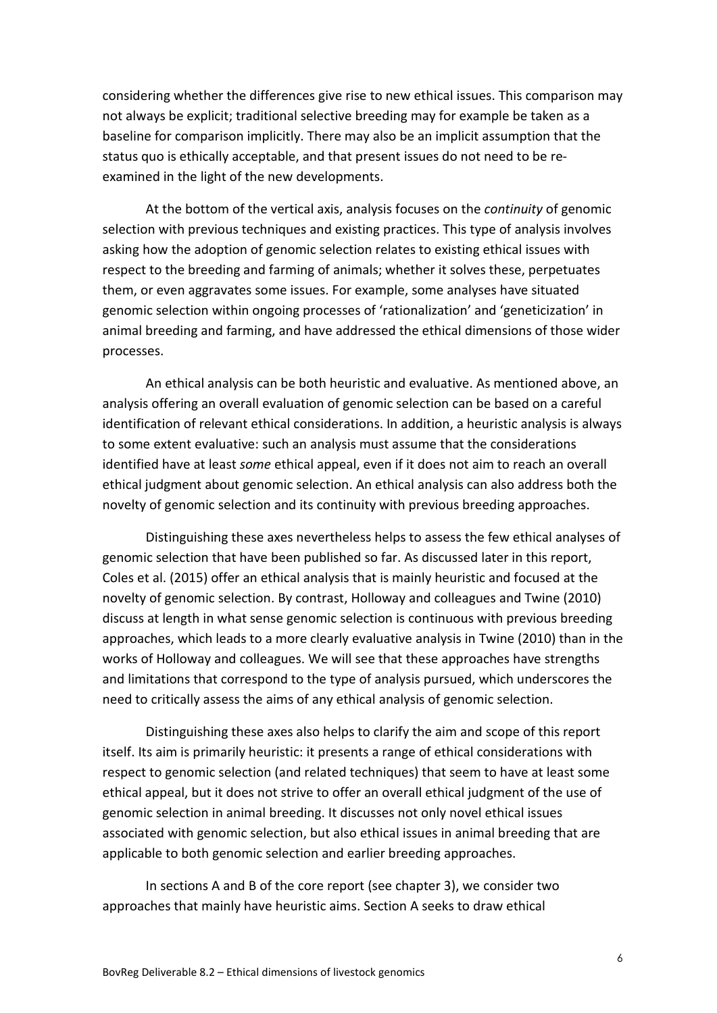considering whether the differences give rise to new ethical issues. This comparison may not always be explicit; traditional selective breeding may for example be taken as a baseline for comparison implicitly. There may also be an implicit assumption that the status quo is ethically acceptable, and that present issues do not need to be reexamined in the light of the new developments.

At the bottom of the vertical axis, analysis focuses on the *continuity* of genomic selection with previous techniques and existing practices. This type of analysis involves asking how the adoption of genomic selection relates to existing ethical issues with respect to the breeding and farming of animals; whether it solves these, perpetuates them, or even aggravates some issues. For example, some analyses have situated genomic selection within ongoing processes of 'rationalization' and 'geneticization' in animal breeding and farming, and have addressed the ethical dimensions of those wider processes.

An ethical analysis can be both heuristic and evaluative. As mentioned above, an analysis offering an overall evaluation of genomic selection can be based on a careful identification of relevant ethical considerations. In addition, a heuristic analysis is always to some extent evaluative: such an analysis must assume that the considerations identified have at least *some* ethical appeal, even if it does not aim to reach an overall ethical judgment about genomic selection. An ethical analysis can also address both the novelty of genomic selection and its continuity with previous breeding approaches.

Distinguishing these axes nevertheless helps to assess the few ethical analyses of genomic selection that have been published so far. As discussed later in this report, Coles et al. (2015) offer an ethical analysis that is mainly heuristic and focused at the novelty of genomic selection. By contrast, Holloway and colleagues and Twine (2010) discuss at length in what sense genomic selection is continuous with previous breeding approaches, which leads to a more clearly evaluative analysis in Twine (2010) than in the works of Holloway and colleagues. We will see that these approaches have strengths and limitations that correspond to the type of analysis pursued, which underscores the need to critically assess the aims of any ethical analysis of genomic selection.

Distinguishing these axes also helps to clarify the aim and scope of this report itself. Its aim is primarily heuristic: it presents a range of ethical considerations with respect to genomic selection (and related techniques) that seem to have at least some ethical appeal, but it does not strive to offer an overall ethical judgment of the use of genomic selection in animal breeding. It discusses not only novel ethical issues associated with genomic selection, but also ethical issues in animal breeding that are applicable to both genomic selection and earlier breeding approaches.

In sections A and B of the core report (see chapter 3), we consider two approaches that mainly have heuristic aims. Section A seeks to draw ethical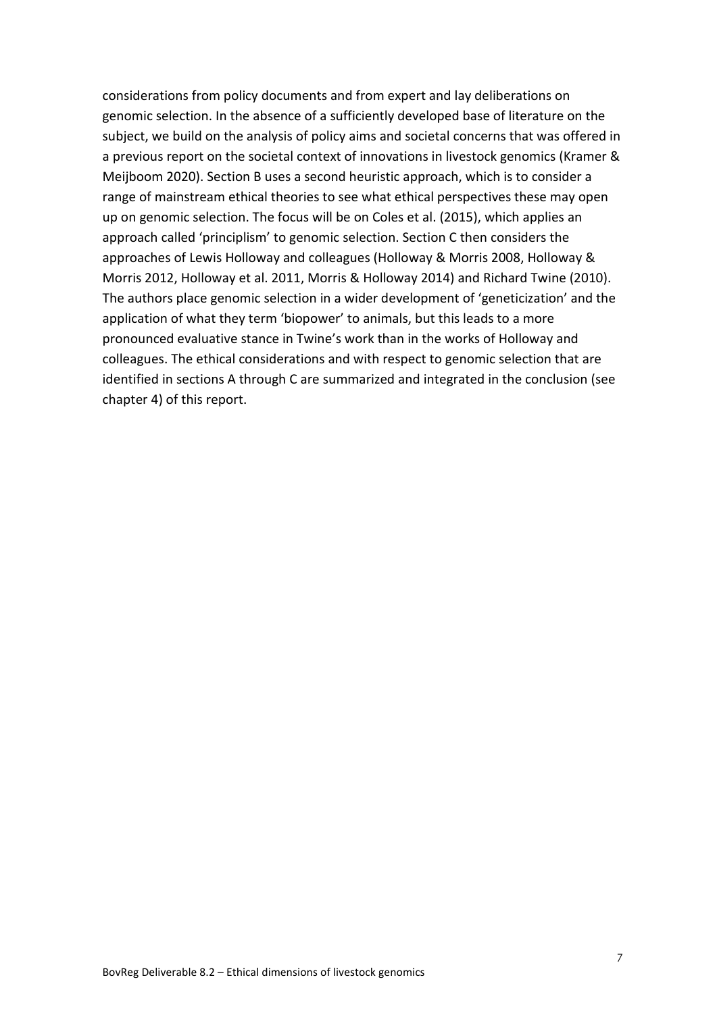considerations from policy documents and from expert and lay deliberations on genomic selection. In the absence of a sufficiently developed base of literature on the subject, we build on the analysis of policy aims and societal concerns that was offered in a previous report on the societal context of innovations in livestock genomics (Kramer & Meijboom 2020). Section B uses a second heuristic approach, which is to consider a range of mainstream ethical theories to see what ethical perspectives these may open up on genomic selection. The focus will be on Coles et al. (2015), which applies an approach called 'principlism' to genomic selection. Section C then considers the approaches of Lewis Holloway and colleagues (Holloway & Morris 2008, Holloway & Morris 2012, Holloway et al. 2011, Morris & Holloway 2014) and Richard Twine (2010). The authors place genomic selection in a wider development of 'geneticization' and the application of what they term 'biopower' to animals, but this leads to a more pronounced evaluative stance in Twine's work than in the works of Holloway and colleagues. The ethical considerations and with respect to genomic selection that are identified in sections A through C are summarized and integrated in the conclusion (see chapter 4) of this report.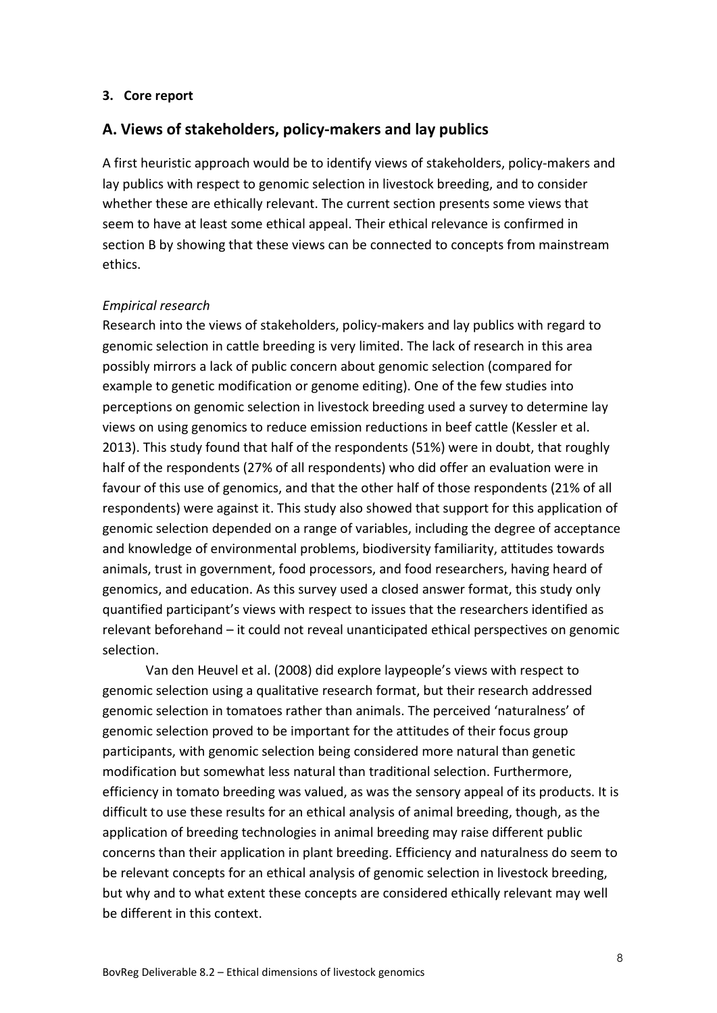#### <span id="page-8-0"></span>**3. Core report**

#### **A. Views of stakeholders, policy-makers and lay publics**

A first heuristic approach would be to identify views of stakeholders, policy-makers and lay publics with respect to genomic selection in livestock breeding, and to consider whether these are ethically relevant. The current section presents some views that seem to have at least some ethical appeal. Their ethical relevance is confirmed in section B by showing that these views can be connected to concepts from mainstream ethics.

#### *Empirical research*

Research into the views of stakeholders, policy-makers and lay publics with regard to genomic selection in cattle breeding is very limited. The lack of research in this area possibly mirrors a lack of public concern about genomic selection (compared for example to genetic modification or genome editing). One of the few studies into perceptions on genomic selection in livestock breeding used a survey to determine lay views on using genomics to reduce emission reductions in beef cattle (Kessler et al. 2013). This study found that half of the respondents (51%) were in doubt, that roughly half of the respondents (27% of all respondents) who did offer an evaluation were in favour of this use of genomics, and that the other half of those respondents (21% of all respondents) were against it. This study also showed that support for this application of genomic selection depended on a range of variables, including the degree of acceptance and knowledge of environmental problems, biodiversity familiarity, attitudes towards animals, trust in government, food processors, and food researchers, having heard of genomics, and education. As this survey used a closed answer format, this study only quantified participant's views with respect to issues that the researchers identified as relevant beforehand – it could not reveal unanticipated ethical perspectives on genomic selection.

Van den Heuvel et al. (2008) did explore laypeople's views with respect to genomic selection using a qualitative research format, but their research addressed genomic selection in tomatoes rather than animals. The perceived 'naturalness' of genomic selection proved to be important for the attitudes of their focus group participants, with genomic selection being considered more natural than genetic modification but somewhat less natural than traditional selection. Furthermore, efficiency in tomato breeding was valued, as was the sensory appeal of its products. It is difficult to use these results for an ethical analysis of animal breeding, though, as the application of breeding technologies in animal breeding may raise different public concerns than their application in plant breeding. Efficiency and naturalness do seem to be relevant concepts for an ethical analysis of genomic selection in livestock breeding, but why and to what extent these concepts are considered ethically relevant may well be different in this context.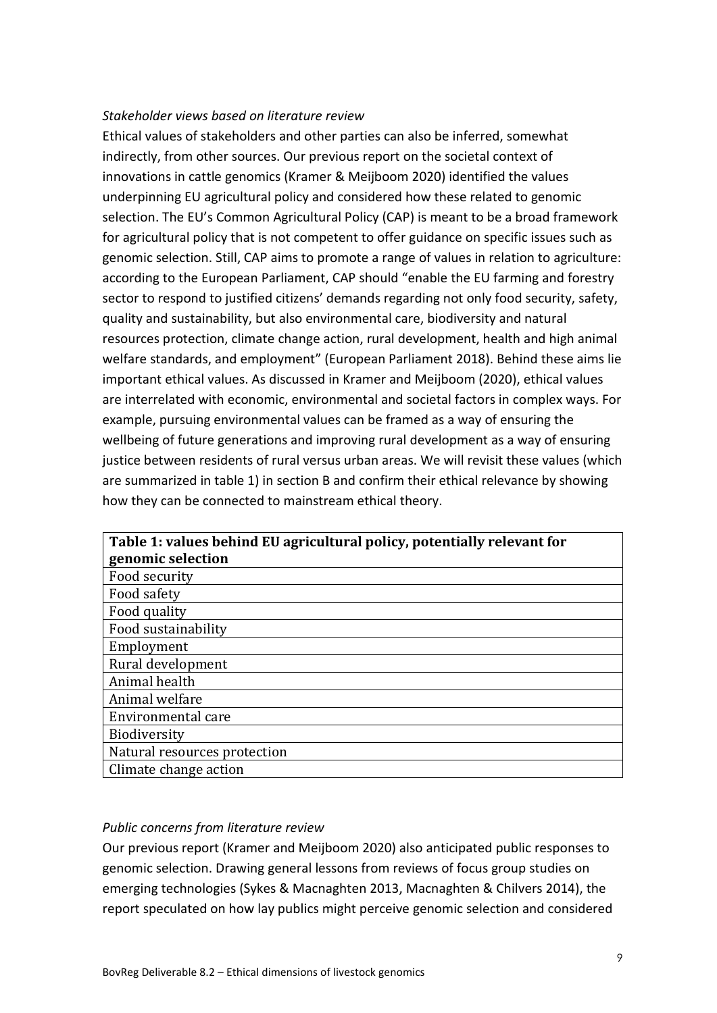#### *Stakeholder views based on literature review*

Ethical values of stakeholders and other parties can also be inferred, somewhat indirectly, from other sources. Our previous report on the societal context of innovations in cattle genomics (Kramer & Meijboom 2020) identified the values underpinning EU agricultural policy and considered how these related to genomic selection. The EU's Common Agricultural Policy (CAP) is meant to be a broad framework for agricultural policy that is not competent to offer guidance on specific issues such as genomic selection. Still, CAP aims to promote a range of values in relation to agriculture: according to the European Parliament, CAP should "enable the EU farming and forestry sector to respond to justified citizens' demands regarding not only food security, safety, quality and sustainability, but also environmental care, biodiversity and natural resources protection, climate change action, rural development, health and high animal welfare standards, and employment" (European Parliament 2018). Behind these aims lie important ethical values. As discussed in Kramer and Meijboom (2020), ethical values are interrelated with economic, environmental and societal factors in complex ways. For example, pursuing environmental values can be framed as a way of ensuring the wellbeing of future generations and improving rural development as a way of ensuring justice between residents of rural versus urban areas. We will revisit these values (which are summarized in table 1) in section B and confirm their ethical relevance by showing how they can be connected to mainstream ethical theory.

| Table 1: values behind EU agricultural policy, potentially relevant for |  |  |
|-------------------------------------------------------------------------|--|--|
| genomic selection                                                       |  |  |
| Food security                                                           |  |  |
| Food safety                                                             |  |  |
| Food quality                                                            |  |  |
| Food sustainability                                                     |  |  |
| Employment                                                              |  |  |
| Rural development                                                       |  |  |
| Animal health                                                           |  |  |
| Animal welfare                                                          |  |  |
| Environmental care                                                      |  |  |
| <b>Biodiversity</b>                                                     |  |  |
| Natural resources protection                                            |  |  |
| Climate change action                                                   |  |  |

#### *Public concerns from literature review*

Our previous report (Kramer and Meijboom 2020) also anticipated public responses to genomic selection. Drawing general lessons from reviews of focus group studies on emerging technologies (Sykes & Macnaghten 2013, Macnaghten & Chilvers 2014), the report speculated on how lay publics might perceive genomic selection and considered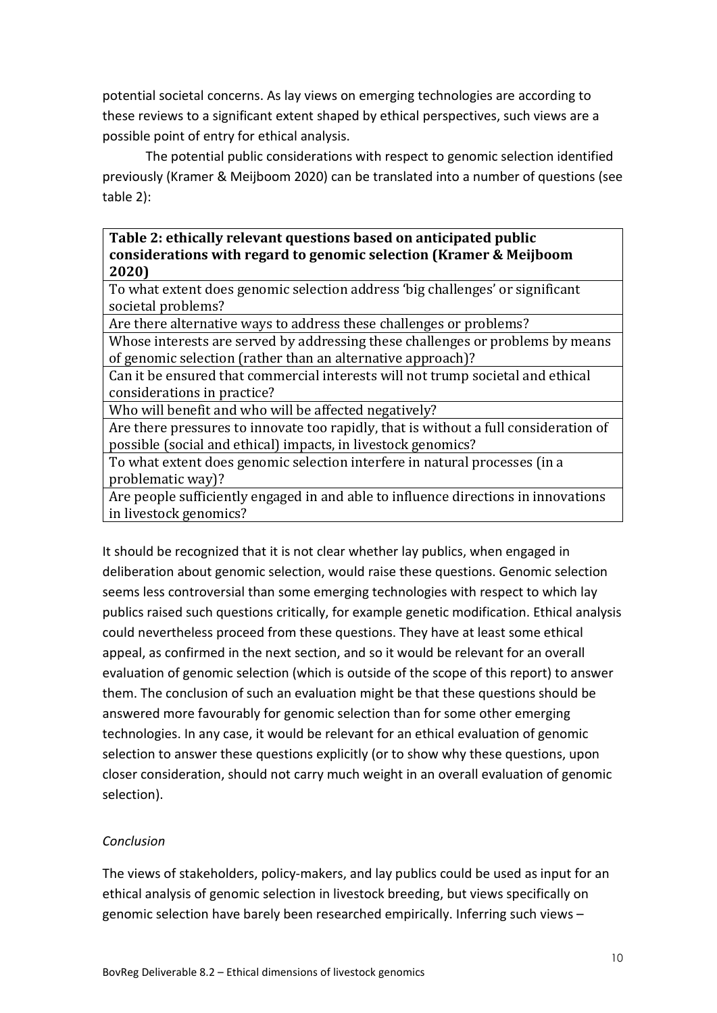potential societal concerns. As lay views on emerging technologies are according to these reviews to a significant extent shaped by ethical perspectives, such views are a possible point of entry for ethical analysis.

The potential public considerations with respect to genomic selection identified previously (Kramer & Meijboom 2020) can be translated into a number of questions (see table 2):

### **Table 2: ethically relevant questions based on anticipated public considerations with regard to genomic selection (Kramer & Meijboom 2020)**

To what extent does genomic selection address 'big challenges' or significant societal problems?

Are there alternative ways to address these challenges or problems?

Whose interests are served by addressing these challenges or problems by means of genomic selection (rather than an alternative approach)?

Can it be ensured that commercial interests will not trump societal and ethical considerations in practice?

Who will benefit and who will be affected negatively?

Are there pressures to innovate too rapidly, that is without a full consideration of possible (social and ethical) impacts, in livestock genomics?

To what extent does genomic selection interfere in natural processes (in a problematic way)?

Are people sufficiently engaged in and able to influence directions in innovations in livestock genomics?

It should be recognized that it is not clear whether lay publics, when engaged in deliberation about genomic selection, would raise these questions. Genomic selection seems less controversial than some emerging technologies with respect to which lay publics raised such questions critically, for example genetic modification. Ethical analysis could nevertheless proceed from these questions. They have at least some ethical appeal, as confirmed in the next section, and so it would be relevant for an overall evaluation of genomic selection (which is outside of the scope of this report) to answer them. The conclusion of such an evaluation might be that these questions should be answered more favourably for genomic selection than for some other emerging technologies. In any case, it would be relevant for an ethical evaluation of genomic selection to answer these questions explicitly (or to show why these questions, upon closer consideration, should not carry much weight in an overall evaluation of genomic selection).

# *Conclusion*

The views of stakeholders, policy-makers, and lay publics could be used as input for an ethical analysis of genomic selection in livestock breeding, but views specifically on genomic selection have barely been researched empirically. Inferring such views –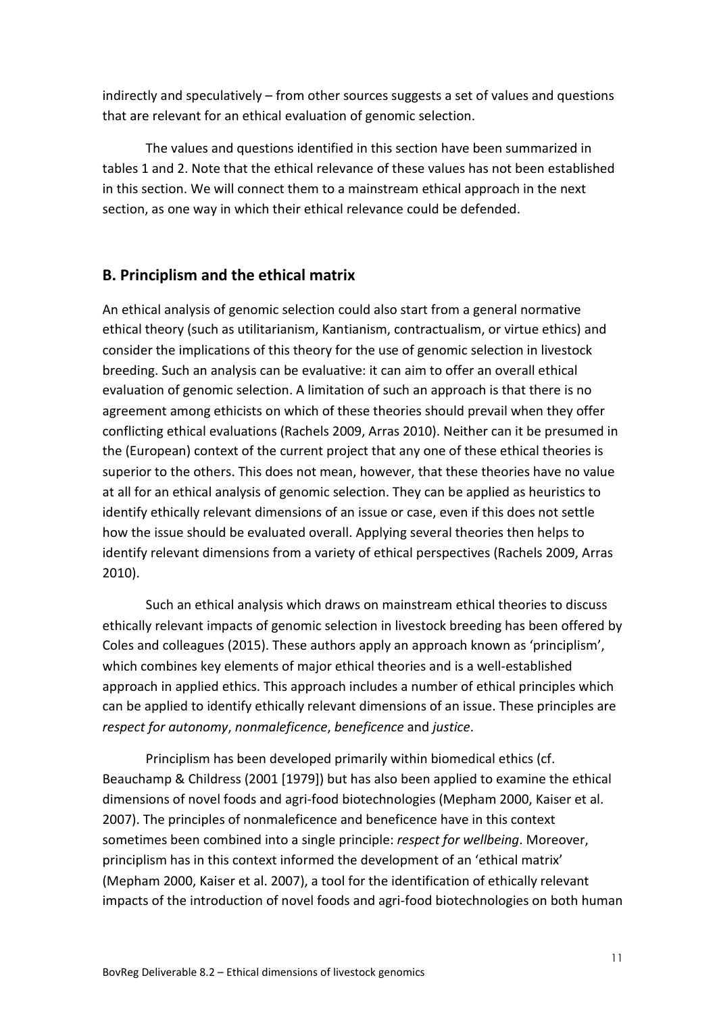indirectly and speculatively – from other sources suggests a set of values and questions that are relevant for an ethical evaluation of genomic selection.

The values and questions identified in this section have been summarized in tables 1 and 2. Note that the ethical relevance of these values has not been established in this section. We will connect them to a mainstream ethical approach in the next section, as one way in which their ethical relevance could be defended.

# **B. Principlism and the ethical matrix**

An ethical analysis of genomic selection could also start from a general normative ethical theory (such as utilitarianism, Kantianism, contractualism, or virtue ethics) and consider the implications of this theory for the use of genomic selection in livestock breeding. Such an analysis can be evaluative: it can aim to offer an overall ethical evaluation of genomic selection. A limitation of such an approach is that there is no agreement among ethicists on which of these theories should prevail when they offer conflicting ethical evaluations (Rachels 2009, Arras 2010). Neither can it be presumed in the (European) context of the current project that any one of these ethical theories is superior to the others. This does not mean, however, that these theories have no value at all for an ethical analysis of genomic selection. They can be applied as heuristics to identify ethically relevant dimensions of an issue or case, even if this does not settle how the issue should be evaluated overall. Applying several theories then helps to identify relevant dimensions from a variety of ethical perspectives (Rachels 2009, Arras 2010).

Such an ethical analysis which draws on mainstream ethical theories to discuss ethically relevant impacts of genomic selection in livestock breeding has been offered by Coles and colleagues (2015). These authors apply an approach known as 'principlism', which combines key elements of major ethical theories and is a well-established approach in applied ethics. This approach includes a number of ethical principles which can be applied to identify ethically relevant dimensions of an issue. These principles are *respect for autonomy*, *nonmaleficence*, *beneficence* and *justice*.

Principlism has been developed primarily within biomedical ethics (cf. Beauchamp & Childress (2001 [1979]) but has also been applied to examine the ethical dimensions of novel foods and agri-food biotechnologies (Mepham 2000, Kaiser et al. 2007). The principles of nonmaleficence and beneficence have in this context sometimes been combined into a single principle: *respect for wellbeing*. Moreover, principlism has in this context informed the development of an 'ethical matrix' (Mepham 2000, Kaiser et al. 2007), a tool for the identification of ethically relevant impacts of the introduction of novel foods and agri-food biotechnologies on both human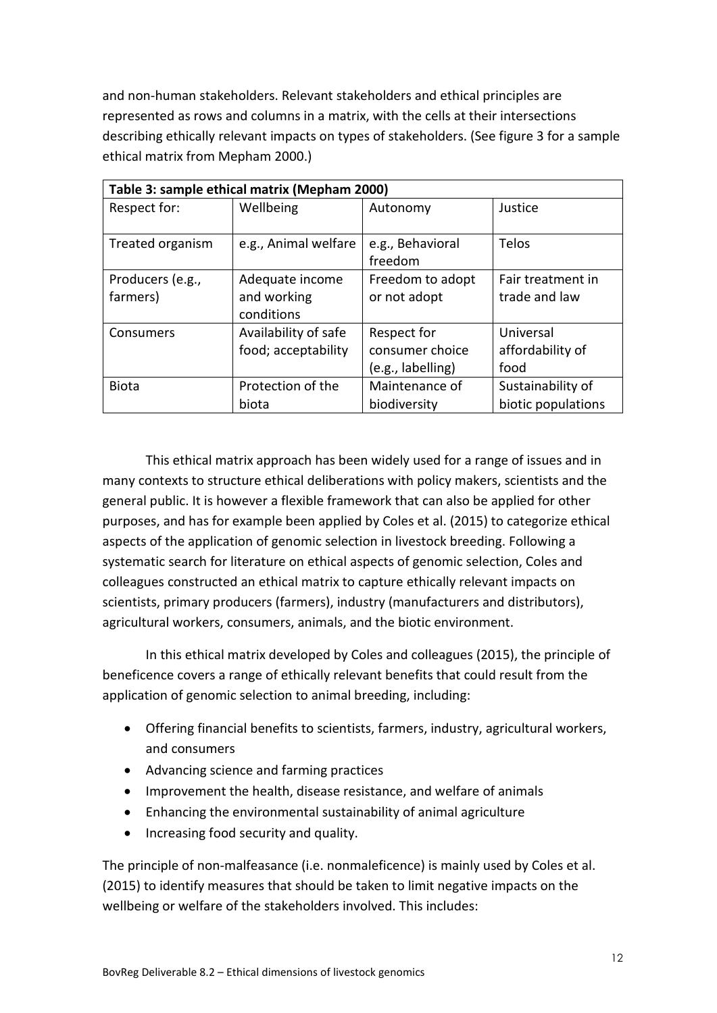and non-human stakeholders. Relevant stakeholders and ethical principles are represented as rows and columns in a matrix, with the cells at their intersections describing ethically relevant impacts on types of stakeholders. (See figure 3 for a sample ethical matrix from Mepham 2000.)

| Table 3: sample ethical matrix (Mepham 2000) |                                              |                                                     |                                         |
|----------------------------------------------|----------------------------------------------|-----------------------------------------------------|-----------------------------------------|
| Respect for:                                 | Wellbeing                                    | Autonomy                                            | Justice                                 |
| Treated organism                             | e.g., Animal welfare                         | e.g., Behavioral<br>freedom                         | Telos                                   |
| Producers (e.g.,<br>farmers)                 | Adequate income<br>and working<br>conditions | Freedom to adopt<br>or not adopt                    | Fair treatment in<br>trade and law      |
| Consumers                                    | Availability of safe<br>food; acceptability  | Respect for<br>consumer choice<br>(e.g., labelling) | Universal<br>affordability of<br>food   |
| <b>Biota</b>                                 | Protection of the<br>biota                   | Maintenance of<br>biodiversity                      | Sustainability of<br>biotic populations |

This ethical matrix approach has been widely used for a range of issues and in many contexts to structure ethical deliberations with policy makers, scientists and the general public. It is however a flexible framework that can also be applied for other purposes, and has for example been applied by Coles et al. (2015) to categorize ethical aspects of the application of genomic selection in livestock breeding. Following a systematic search for literature on ethical aspects of genomic selection, Coles and colleagues constructed an ethical matrix to capture ethically relevant impacts on scientists, primary producers (farmers), industry (manufacturers and distributors), agricultural workers, consumers, animals, and the biotic environment.

In this ethical matrix developed by Coles and colleagues (2015), the principle of beneficence covers a range of ethically relevant benefits that could result from the application of genomic selection to animal breeding, including:

- Offering financial benefits to scientists, farmers, industry, agricultural workers, and consumers
- Advancing science and farming practices
- Improvement the health, disease resistance, and welfare of animals
- Enhancing the environmental sustainability of animal agriculture
- Increasing food security and quality.

The principle of non-malfeasance (i.e. nonmaleficence) is mainly used by Coles et al. (2015) to identify measures that should be taken to limit negative impacts on the wellbeing or welfare of the stakeholders involved. This includes: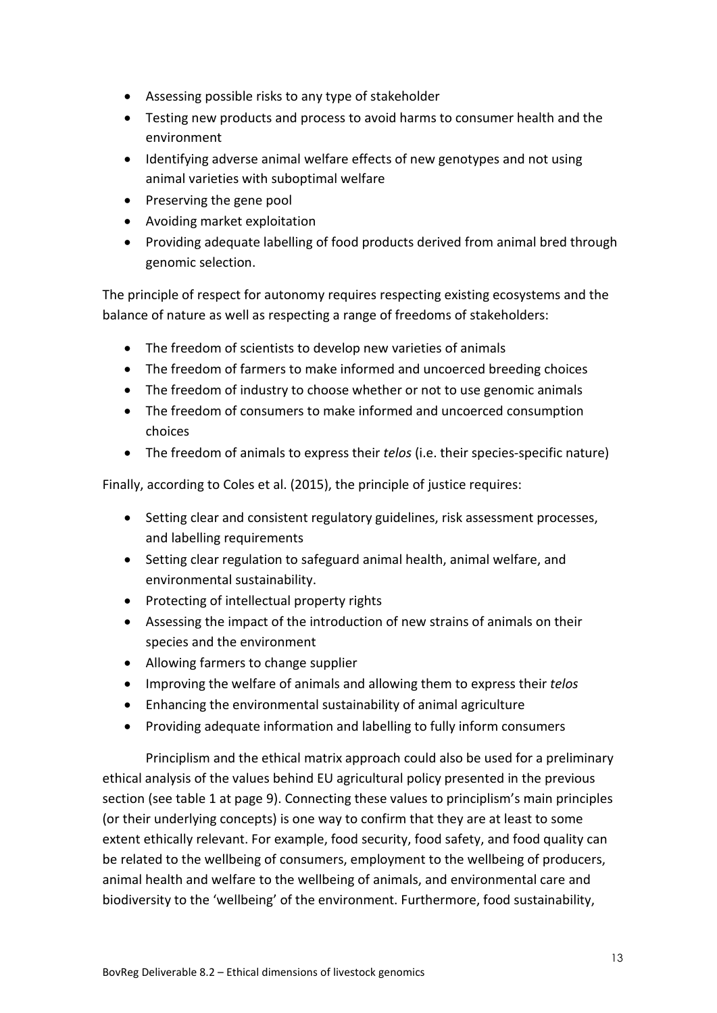- Assessing possible risks to any type of stakeholder
- Testing new products and process to avoid harms to consumer health and the environment
- Identifying adverse animal welfare effects of new genotypes and not using animal varieties with suboptimal welfare
- Preserving the gene pool
- Avoiding market exploitation
- Providing adequate labelling of food products derived from animal bred through genomic selection.

The principle of respect for autonomy requires respecting existing ecosystems and the balance of nature as well as respecting a range of freedoms of stakeholders:

- The freedom of scientists to develop new varieties of animals
- The freedom of farmers to make informed and uncoerced breeding choices
- The freedom of industry to choose whether or not to use genomic animals
- The freedom of consumers to make informed and uncoerced consumption choices
- The freedom of animals to express their *telos* (i.e. their species-specific nature)

Finally, according to Coles et al. (2015), the principle of justice requires:

- Setting clear and consistent regulatory guidelines, risk assessment processes, and labelling requirements
- Setting clear regulation to safeguard animal health, animal welfare, and environmental sustainability.
- Protecting of intellectual property rights
- Assessing the impact of the introduction of new strains of animals on their species and the environment
- Allowing farmers to change supplier
- Improving the welfare of animals and allowing them to express their *telos*
- Enhancing the environmental sustainability of animal agriculture
- Providing adequate information and labelling to fully inform consumers

Principlism and the ethical matrix approach could also be used for a preliminary ethical analysis of the values behind EU agricultural policy presented in the previous section (see table 1 at page 9). Connecting these values to principlism's main principles (or their underlying concepts) is one way to confirm that they are at least to some extent ethically relevant. For example, food security, food safety, and food quality can be related to the wellbeing of consumers, employment to the wellbeing of producers, animal health and welfare to the wellbeing of animals, and environmental care and biodiversity to the 'wellbeing' of the environment. Furthermore, food sustainability,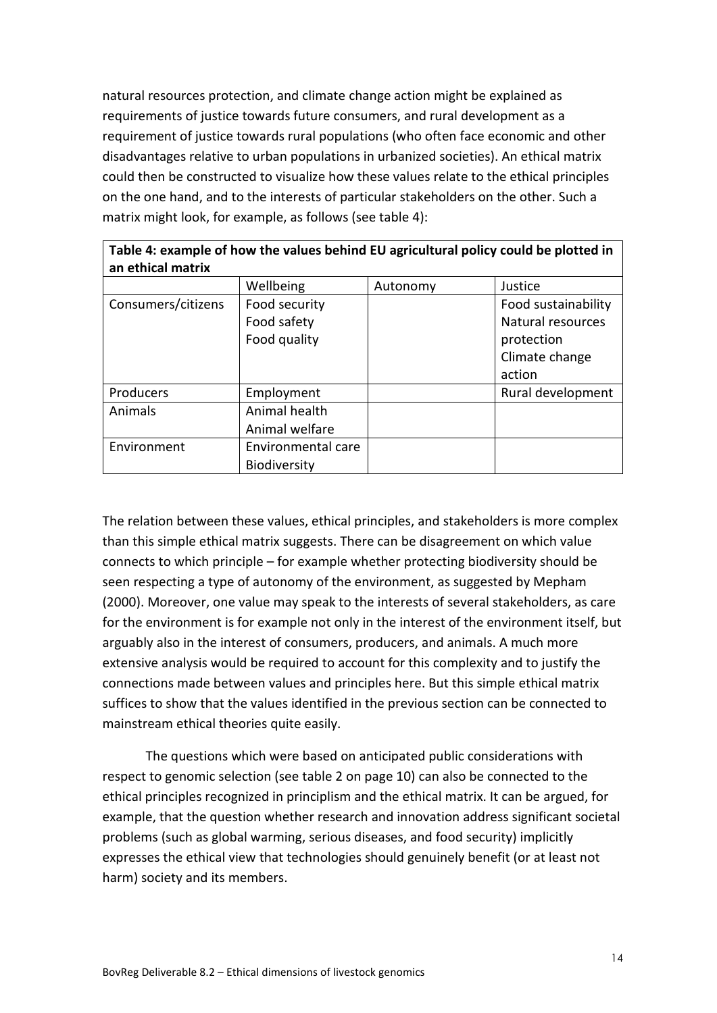natural resources protection, and climate change action might be explained as requirements of justice towards future consumers, and rural development as a requirement of justice towards rural populations (who often face economic and other disadvantages relative to urban populations in urbanized societies). An ethical matrix could then be constructed to visualize how these values relate to the ethical principles on the one hand, and to the interests of particular stakeholders on the other. Such a matrix might look, for example, as follows (see table 4):

| Table 4: example of how the values behind EU agricultural policy could be plotted in<br>an ethical matrix |                    |          |                     |
|-----------------------------------------------------------------------------------------------------------|--------------------|----------|---------------------|
|                                                                                                           | Wellbeing          | Autonomy | Justice             |
| Consumers/citizens                                                                                        | Food security      |          | Food sustainability |
|                                                                                                           | Food safety        |          | Natural resources   |
|                                                                                                           | Food quality       |          | protection          |
|                                                                                                           |                    |          | Climate change      |
|                                                                                                           |                    |          | action              |
| Producers                                                                                                 | Employment         |          | Rural development   |
| Animal health<br>Animals                                                                                  |                    |          |                     |
|                                                                                                           | Animal welfare     |          |                     |
| Environment                                                                                               | Environmental care |          |                     |
|                                                                                                           | Biodiversity       |          |                     |

The relation between these values, ethical principles, and stakeholders is more complex than this simple ethical matrix suggests. There can be disagreement on which value connects to which principle – for example whether protecting biodiversity should be seen respecting a type of autonomy of the environment, as suggested by Mepham (2000). Moreover, one value may speak to the interests of several stakeholders, as care for the environment is for example not only in the interest of the environment itself, but arguably also in the interest of consumers, producers, and animals. A much more extensive analysis would be required to account for this complexity and to justify the connections made between values and principles here. But this simple ethical matrix suffices to show that the values identified in the previous section can be connected to mainstream ethical theories quite easily.

The questions which were based on anticipated public considerations with respect to genomic selection (see table 2 on page 10) can also be connected to the ethical principles recognized in principlism and the ethical matrix. It can be argued, for example, that the question whether research and innovation address significant societal problems (such as global warming, serious diseases, and food security) implicitly expresses the ethical view that technologies should genuinely benefit (or at least not harm) society and its members.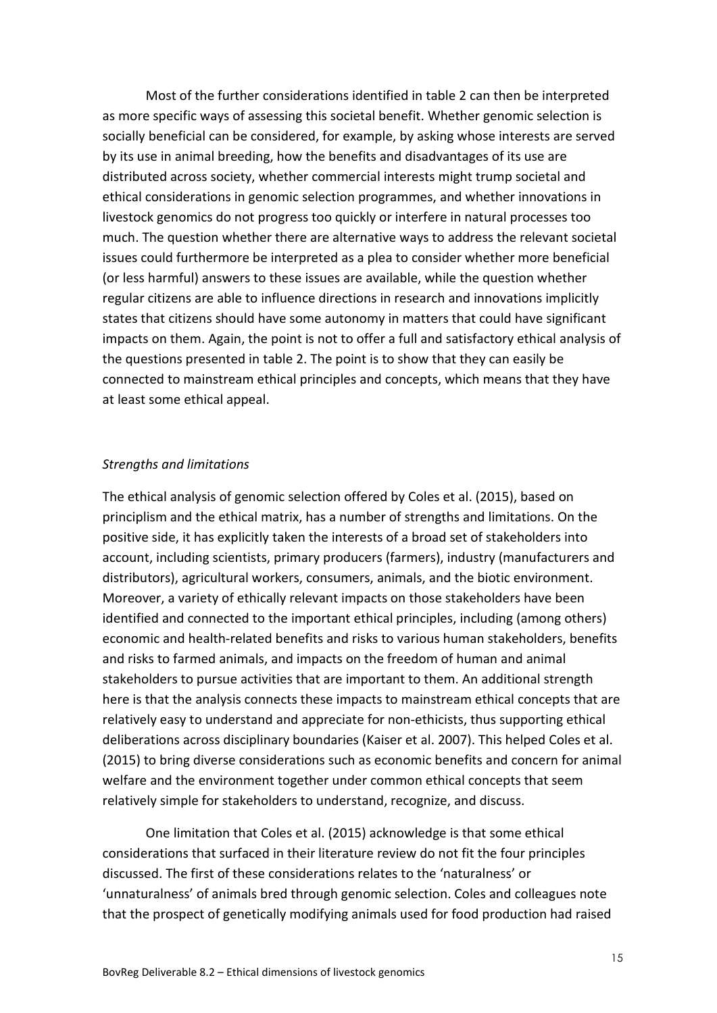Most of the further considerations identified in table 2 can then be interpreted as more specific ways of assessing this societal benefit. Whether genomic selection is socially beneficial can be considered, for example, by asking whose interests are served by its use in animal breeding, how the benefits and disadvantages of its use are distributed across society, whether commercial interests might trump societal and ethical considerations in genomic selection programmes, and whether innovations in livestock genomics do not progress too quickly or interfere in natural processes too much. The question whether there are alternative ways to address the relevant societal issues could furthermore be interpreted as a plea to consider whether more beneficial (or less harmful) answers to these issues are available, while the question whether regular citizens are able to influence directions in research and innovations implicitly states that citizens should have some autonomy in matters that could have significant impacts on them. Again, the point is not to offer a full and satisfactory ethical analysis of the questions presented in table 2. The point is to show that they can easily be connected to mainstream ethical principles and concepts, which means that they have at least some ethical appeal.

#### *Strengths and limitations*

The ethical analysis of genomic selection offered by Coles et al. (2015), based on principlism and the ethical matrix, has a number of strengths and limitations. On the positive side, it has explicitly taken the interests of a broad set of stakeholders into account, including scientists, primary producers (farmers), industry (manufacturers and distributors), agricultural workers, consumers, animals, and the biotic environment. Moreover, a variety of ethically relevant impacts on those stakeholders have been identified and connected to the important ethical principles, including (among others) economic and health-related benefits and risks to various human stakeholders, benefits and risks to farmed animals, and impacts on the freedom of human and animal stakeholders to pursue activities that are important to them. An additional strength here is that the analysis connects these impacts to mainstream ethical concepts that are relatively easy to understand and appreciate for non-ethicists, thus supporting ethical deliberations across disciplinary boundaries (Kaiser et al. 2007). This helped Coles et al. (2015) to bring diverse considerations such as economic benefits and concern for animal welfare and the environment together under common ethical concepts that seem relatively simple for stakeholders to understand, recognize, and discuss.

One limitation that Coles et al. (2015) acknowledge is that some ethical considerations that surfaced in their literature review do not fit the four principles discussed. The first of these considerations relates to the 'naturalness' or 'unnaturalness' of animals bred through genomic selection. Coles and colleagues note that the prospect of genetically modifying animals used for food production had raised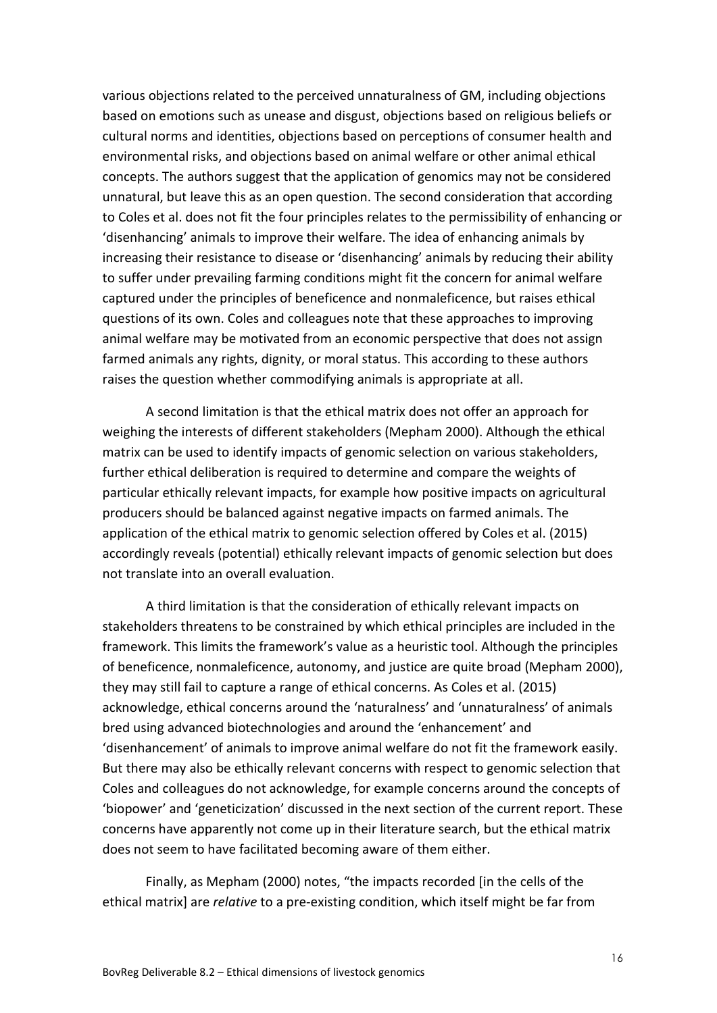various objections related to the perceived unnaturalness of GM, including objections based on emotions such as unease and disgust, objections based on religious beliefs or cultural norms and identities, objections based on perceptions of consumer health and environmental risks, and objections based on animal welfare or other animal ethical concepts. The authors suggest that the application of genomics may not be considered unnatural, but leave this as an open question. The second consideration that according to Coles et al. does not fit the four principles relates to the permissibility of enhancing or 'disenhancing' animals to improve their welfare. The idea of enhancing animals by increasing their resistance to disease or 'disenhancing' animals by reducing their ability to suffer under prevailing farming conditions might fit the concern for animal welfare captured under the principles of beneficence and nonmaleficence, but raises ethical questions of its own. Coles and colleagues note that these approaches to improving animal welfare may be motivated from an economic perspective that does not assign farmed animals any rights, dignity, or moral status. This according to these authors raises the question whether commodifying animals is appropriate at all.

A second limitation is that the ethical matrix does not offer an approach for weighing the interests of different stakeholders (Mepham 2000). Although the ethical matrix can be used to identify impacts of genomic selection on various stakeholders, further ethical deliberation is required to determine and compare the weights of particular ethically relevant impacts, for example how positive impacts on agricultural producers should be balanced against negative impacts on farmed animals. The application of the ethical matrix to genomic selection offered by Coles et al. (2015) accordingly reveals (potential) ethically relevant impacts of genomic selection but does not translate into an overall evaluation.

A third limitation is that the consideration of ethically relevant impacts on stakeholders threatens to be constrained by which ethical principles are included in the framework. This limits the framework's value as a heuristic tool. Although the principles of beneficence, nonmaleficence, autonomy, and justice are quite broad (Mepham 2000), they may still fail to capture a range of ethical concerns. As Coles et al. (2015) acknowledge, ethical concerns around the 'naturalness' and 'unnaturalness' of animals bred using advanced biotechnologies and around the 'enhancement' and 'disenhancement' of animals to improve animal welfare do not fit the framework easily. But there may also be ethically relevant concerns with respect to genomic selection that Coles and colleagues do not acknowledge, for example concerns around the concepts of 'biopower' and 'geneticization' discussed in the next section of the current report. These concerns have apparently not come up in their literature search, but the ethical matrix does not seem to have facilitated becoming aware of them either.

Finally, as Mepham (2000) notes, "the impacts recorded [in the cells of the ethical matrix] are *relative* to a pre-existing condition, which itself might be far from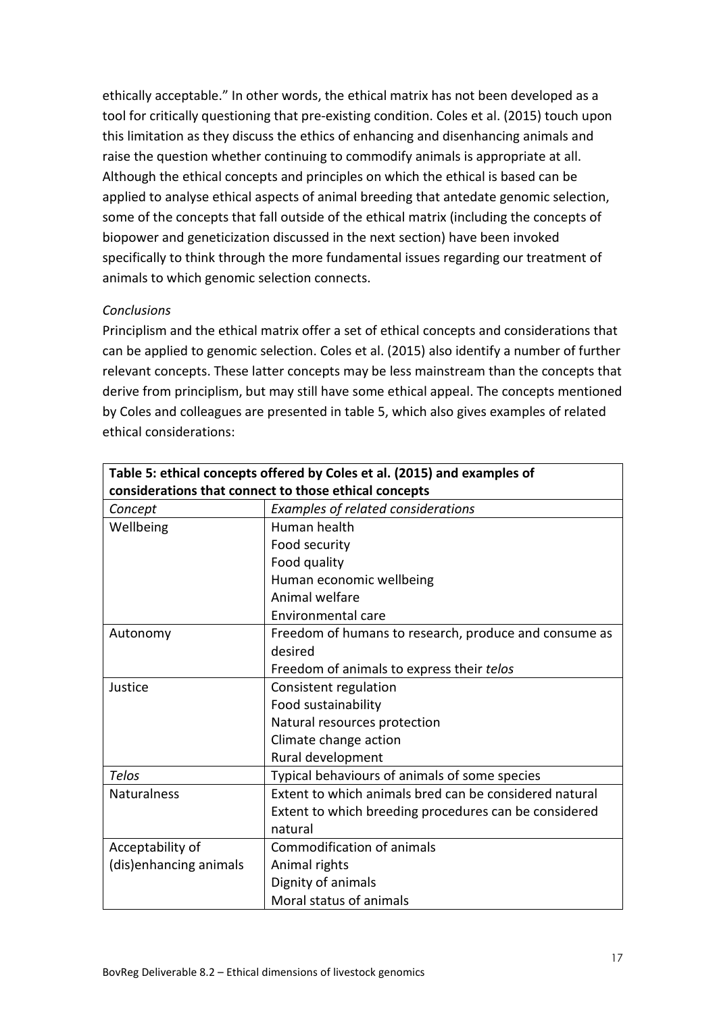ethically acceptable." In other words, the ethical matrix has not been developed as a tool for critically questioning that pre-existing condition. Coles et al. (2015) touch upon this limitation as they discuss the ethics of enhancing and disenhancing animals and raise the question whether continuing to commodify animals is appropriate at all. Although the ethical concepts and principles on which the ethical is based can be applied to analyse ethical aspects of animal breeding that antedate genomic selection, some of the concepts that fall outside of the ethical matrix (including the concepts of biopower and geneticization discussed in the next section) have been invoked specifically to think through the more fundamental issues regarding our treatment of animals to which genomic selection connects.

# *Conclusions*

Principlism and the ethical matrix offer a set of ethical concepts and considerations that can be applied to genomic selection. Coles et al. (2015) also identify a number of further relevant concepts. These latter concepts may be less mainstream than the concepts that derive from principlism, but may still have some ethical appeal. The concepts mentioned by Coles and colleagues are presented in table 5, which also gives examples of related ethical considerations:

| Table 5: ethical concepts offered by Coles et al. (2015) and examples of |                                                        |  |  |
|--------------------------------------------------------------------------|--------------------------------------------------------|--|--|
| considerations that connect to those ethical concepts                    |                                                        |  |  |
| Concept                                                                  | Examples of related considerations                     |  |  |
| Wellbeing                                                                | Human health                                           |  |  |
|                                                                          | Food security                                          |  |  |
|                                                                          | Food quality                                           |  |  |
|                                                                          | Human economic wellbeing                               |  |  |
|                                                                          | Animal welfare                                         |  |  |
|                                                                          | Environmental care                                     |  |  |
| Autonomy                                                                 | Freedom of humans to research, produce and consume as  |  |  |
|                                                                          | desired                                                |  |  |
|                                                                          | Freedom of animals to express their telos              |  |  |
| Justice                                                                  | Consistent regulation                                  |  |  |
|                                                                          | Food sustainability                                    |  |  |
|                                                                          | Natural resources protection                           |  |  |
|                                                                          | Climate change action                                  |  |  |
|                                                                          | Rural development                                      |  |  |
| Telos                                                                    | Typical behaviours of animals of some species          |  |  |
| <b>Naturalness</b>                                                       | Extent to which animals bred can be considered natural |  |  |
|                                                                          | Extent to which breeding procedures can be considered  |  |  |
|                                                                          | natural                                                |  |  |
| Acceptability of                                                         | Commodification of animals                             |  |  |
| (dis)enhancing animals                                                   | Animal rights                                          |  |  |
|                                                                          | Dignity of animals                                     |  |  |
|                                                                          | Moral status of animals                                |  |  |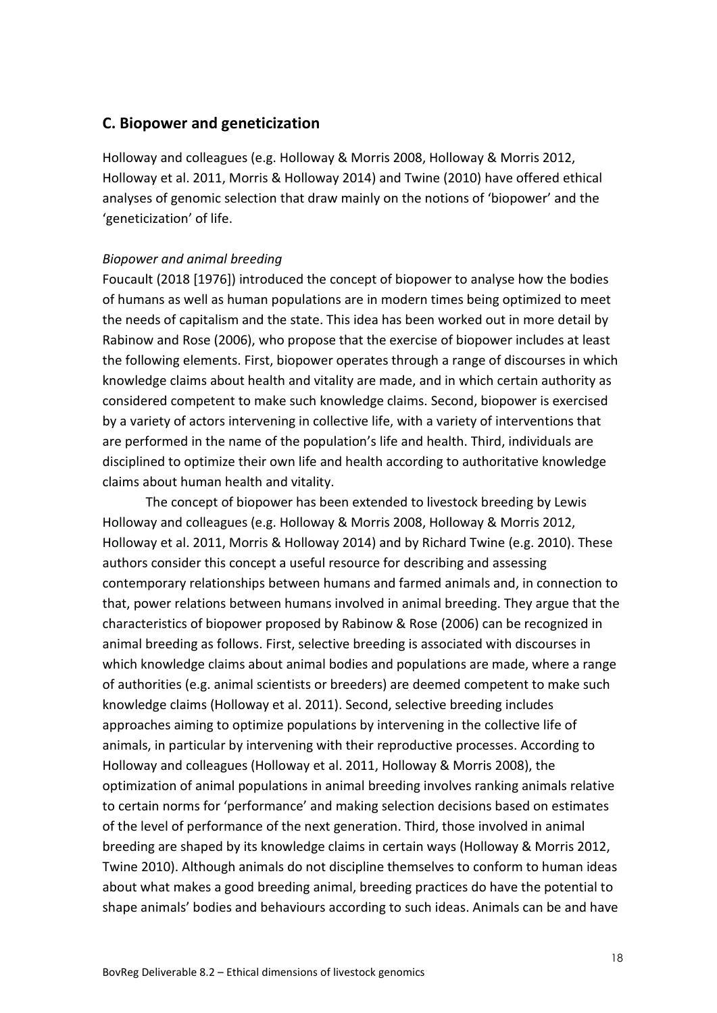# **C. Biopower and geneticization**

Holloway and colleagues (e.g. Holloway & Morris 2008, Holloway & Morris 2012, Holloway et al. 2011, Morris & Holloway 2014) and Twine (2010) have offered ethical analyses of genomic selection that draw mainly on the notions of 'biopower' and the 'geneticization' of life.

#### *Biopower and animal breeding*

Foucault (2018 [1976]) introduced the concept of biopower to analyse how the bodies of humans as well as human populations are in modern times being optimized to meet the needs of capitalism and the state. This idea has been worked out in more detail by Rabinow and Rose (2006), who propose that the exercise of biopower includes at least the following elements. First, biopower operates through a range of discourses in which knowledge claims about health and vitality are made, and in which certain authority as considered competent to make such knowledge claims. Second, biopower is exercised by a variety of actors intervening in collective life, with a variety of interventions that are performed in the name of the population's life and health. Third, individuals are disciplined to optimize their own life and health according to authoritative knowledge claims about human health and vitality.

The concept of biopower has been extended to livestock breeding by Lewis Holloway and colleagues (e.g. Holloway & Morris 2008, Holloway & Morris 2012, Holloway et al. 2011, Morris & Holloway 2014) and by Richard Twine (e.g. 2010). These authors consider this concept a useful resource for describing and assessing contemporary relationships between humans and farmed animals and, in connection to that, power relations between humans involved in animal breeding. They argue that the characteristics of biopower proposed by Rabinow & Rose (2006) can be recognized in animal breeding as follows. First, selective breeding is associated with discourses in which knowledge claims about animal bodies and populations are made, where a range of authorities (e.g. animal scientists or breeders) are deemed competent to make such knowledge claims (Holloway et al. 2011). Second, selective breeding includes approaches aiming to optimize populations by intervening in the collective life of animals, in particular by intervening with their reproductive processes. According to Holloway and colleagues (Holloway et al. 2011, Holloway & Morris 2008), the optimization of animal populations in animal breeding involves ranking animals relative to certain norms for 'performance' and making selection decisions based on estimates of the level of performance of the next generation. Third, those involved in animal breeding are shaped by its knowledge claims in certain ways (Holloway & Morris 2012, Twine 2010). Although animals do not discipline themselves to conform to human ideas about what makes a good breeding animal, breeding practices do have the potential to shape animals' bodies and behaviours according to such ideas. Animals can be and have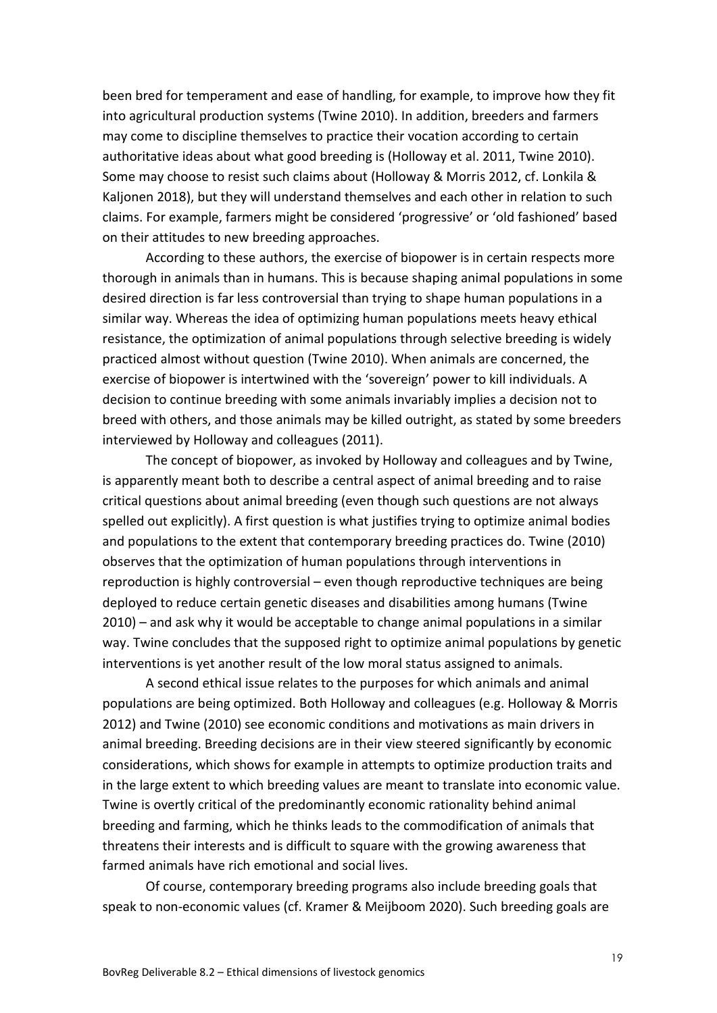been bred for temperament and ease of handling, for example, to improve how they fit into agricultural production systems (Twine 2010). In addition, breeders and farmers may come to discipline themselves to practice their vocation according to certain authoritative ideas about what good breeding is (Holloway et al. 2011, Twine 2010). Some may choose to resist such claims about (Holloway & Morris 2012, cf. Lonkila & Kaljonen 2018), but they will understand themselves and each other in relation to such claims. For example, farmers might be considered 'progressive' or 'old fashioned' based on their attitudes to new breeding approaches.

According to these authors, the exercise of biopower is in certain respects more thorough in animals than in humans. This is because shaping animal populations in some desired direction is far less controversial than trying to shape human populations in a similar way. Whereas the idea of optimizing human populations meets heavy ethical resistance, the optimization of animal populations through selective breeding is widely practiced almost without question (Twine 2010). When animals are concerned, the exercise of biopower is intertwined with the 'sovereign' power to kill individuals. A decision to continue breeding with some animals invariably implies a decision not to breed with others, and those animals may be killed outright, as stated by some breeders interviewed by Holloway and colleagues (2011).

The concept of biopower, as invoked by Holloway and colleagues and by Twine, is apparently meant both to describe a central aspect of animal breeding and to raise critical questions about animal breeding (even though such questions are not always spelled out explicitly). A first question is what justifies trying to optimize animal bodies and populations to the extent that contemporary breeding practices do. Twine (2010) observes that the optimization of human populations through interventions in reproduction is highly controversial – even though reproductive techniques are being deployed to reduce certain genetic diseases and disabilities among humans (Twine 2010) – and ask why it would be acceptable to change animal populations in a similar way. Twine concludes that the supposed right to optimize animal populations by genetic interventions is yet another result of the low moral status assigned to animals.

A second ethical issue relates to the purposes for which animals and animal populations are being optimized. Both Holloway and colleagues (e.g. Holloway & Morris 2012) and Twine (2010) see economic conditions and motivations as main drivers in animal breeding. Breeding decisions are in their view steered significantly by economic considerations, which shows for example in attempts to optimize production traits and in the large extent to which breeding values are meant to translate into economic value. Twine is overtly critical of the predominantly economic rationality behind animal breeding and farming, which he thinks leads to the commodification of animals that threatens their interests and is difficult to square with the growing awareness that farmed animals have rich emotional and social lives.

Of course, contemporary breeding programs also include breeding goals that speak to non-economic values (cf. Kramer & Meijboom 2020). Such breeding goals are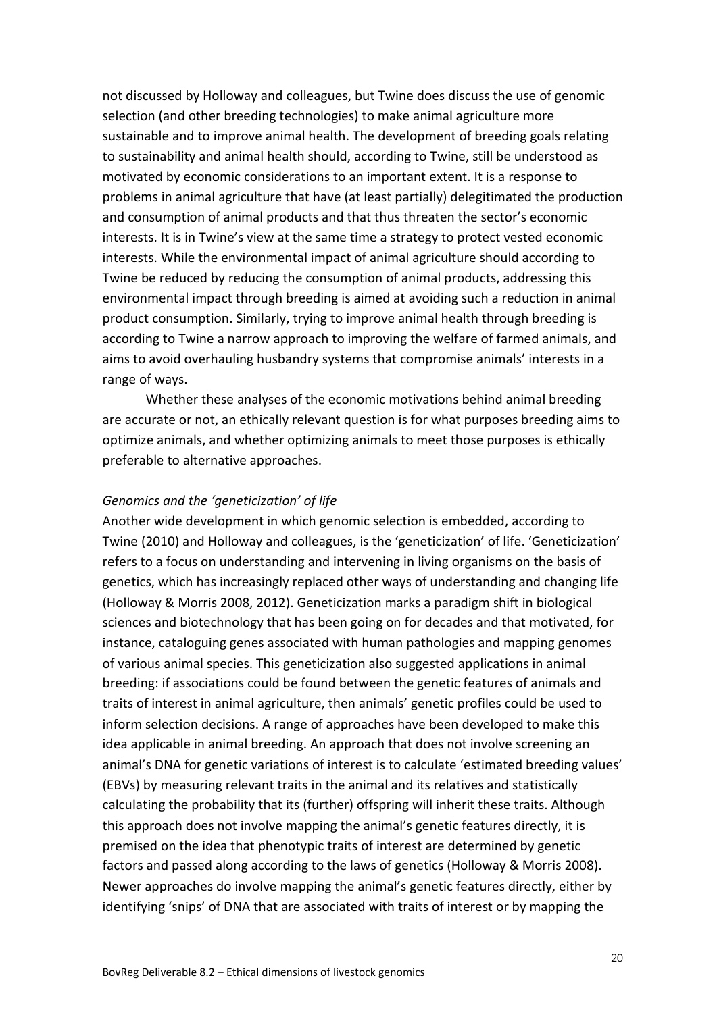not discussed by Holloway and colleagues, but Twine does discuss the use of genomic selection (and other breeding technologies) to make animal agriculture more sustainable and to improve animal health. The development of breeding goals relating to sustainability and animal health should, according to Twine, still be understood as motivated by economic considerations to an important extent. It is a response to problems in animal agriculture that have (at least partially) delegitimated the production and consumption of animal products and that thus threaten the sector's economic interests. It is in Twine's view at the same time a strategy to protect vested economic interests. While the environmental impact of animal agriculture should according to Twine be reduced by reducing the consumption of animal products, addressing this environmental impact through breeding is aimed at avoiding such a reduction in animal product consumption. Similarly, trying to improve animal health through breeding is according to Twine a narrow approach to improving the welfare of farmed animals, and aims to avoid overhauling husbandry systems that compromise animals' interests in a range of ways.

Whether these analyses of the economic motivations behind animal breeding are accurate or not, an ethically relevant question is for what purposes breeding aims to optimize animals, and whether optimizing animals to meet those purposes is ethically preferable to alternative approaches.

#### *Genomics and the 'geneticization' of life*

Another wide development in which genomic selection is embedded, according to Twine (2010) and Holloway and colleagues, is the 'geneticization' of life. 'Geneticization' refers to a focus on understanding and intervening in living organisms on the basis of genetics, which has increasingly replaced other ways of understanding and changing life (Holloway & Morris 2008, 2012). Geneticization marks a paradigm shift in biological sciences and biotechnology that has been going on for decades and that motivated, for instance, cataloguing genes associated with human pathologies and mapping genomes of various animal species. This geneticization also suggested applications in animal breeding: if associations could be found between the genetic features of animals and traits of interest in animal agriculture, then animals' genetic profiles could be used to inform selection decisions. A range of approaches have been developed to make this idea applicable in animal breeding. An approach that does not involve screening an animal's DNA for genetic variations of interest is to calculate 'estimated breeding values' (EBVs) by measuring relevant traits in the animal and its relatives and statistically calculating the probability that its (further) offspring will inherit these traits. Although this approach does not involve mapping the animal's genetic features directly, it is premised on the idea that phenotypic traits of interest are determined by genetic factors and passed along according to the laws of genetics (Holloway & Morris 2008). Newer approaches do involve mapping the animal's genetic features directly, either by identifying 'snips' of DNA that are associated with traits of interest or by mapping the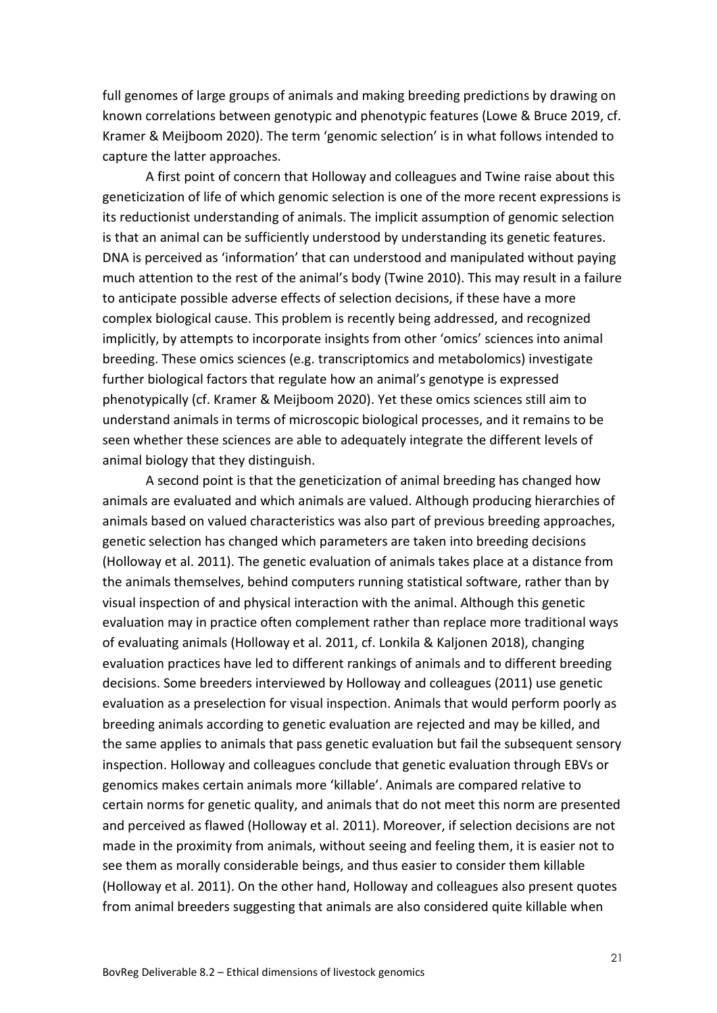full genomes of large groups of animals and making breeding predictions by drawing on known correlations between genotypic and phenotypic features (Lowe & Bruce 2019, cf. Kramer & Meijboom 2020). The term 'genomic selection' is in what follows intended to capture the latter approaches.

A first point of concern that Holloway and colleagues and Twine raise about this geneticization of life of which genomic selection is one of the more recent expressions is its reductionist understanding of animals. The implicit assumption of genomic selection is that an animal can be sufficiently understood by understanding its genetic features. DNA is perceived as 'information' that can understood and manipulated without paying much attention to the rest of the animal's body (Twine 2010). This may result in a failure to anticipate possible adverse effects of selection decisions, if these have a more complex biological cause. This problem is recently being addressed, and recognized implicitly, by attempts to incorporate insights from other 'omics' sciences into animal breeding. These omics sciences (e.g. transcriptomics and metabolomics) investigate further biological factors that regulate how an animal's genotype is expressed phenotypically (cf. Kramer & Meijboom 2020). Yet these omics sciences still aim to understand animals in terms of microscopic biological processes, and it remains to be seen whether these sciences are able to adequately integrate the different levels of animal biology that they distinguish.

A second point is that the geneticization of animal breeding has changed how animals are evaluated and which animals are valued. Although producing hierarchies of animals based on valued characteristics was also part of previous breeding approaches, genetic selection has changed which parameters are taken into breeding decisions (Holloway et al. 2011). The genetic evaluation of animals takes place at a distance from the animals themselves, behind computers running statistical software, rather than by visual inspection of and physical interaction with the animal. Although this genetic evaluation may in practice often complement rather than replace more traditional ways of evaluating animals (Holloway et al. 2011, cf. Lonkila & Kaljonen 2018), changing evaluation practices have led to different rankings of animals and to different breeding decisions. Some breeders interviewed by Holloway and colleagues (2011) use genetic evaluation as a preselection for visual inspection. Animals that would perform poorly as breeding animals according to genetic evaluation are rejected and may be killed, and the same applies to animals that pass genetic evaluation but fail the subsequent sensory inspection. Holloway and colleagues conclude that genetic evaluation through EBVs or genomics makes certain animals more 'killable'. Animals are compared relative to certain norms for genetic quality, and animals that do not meet this norm are presented and perceived as flawed (Holloway et al. 2011). Moreover, if selection decisions are not made in the proximity from animals, without seeing and feeling them, it is easier not to see them as morally considerable beings, and thus easier to consider them killable (Holloway et al. 2011). On the other hand, Holloway and colleagues also present quotes from animal breeders suggesting that animals are also considered quite killable when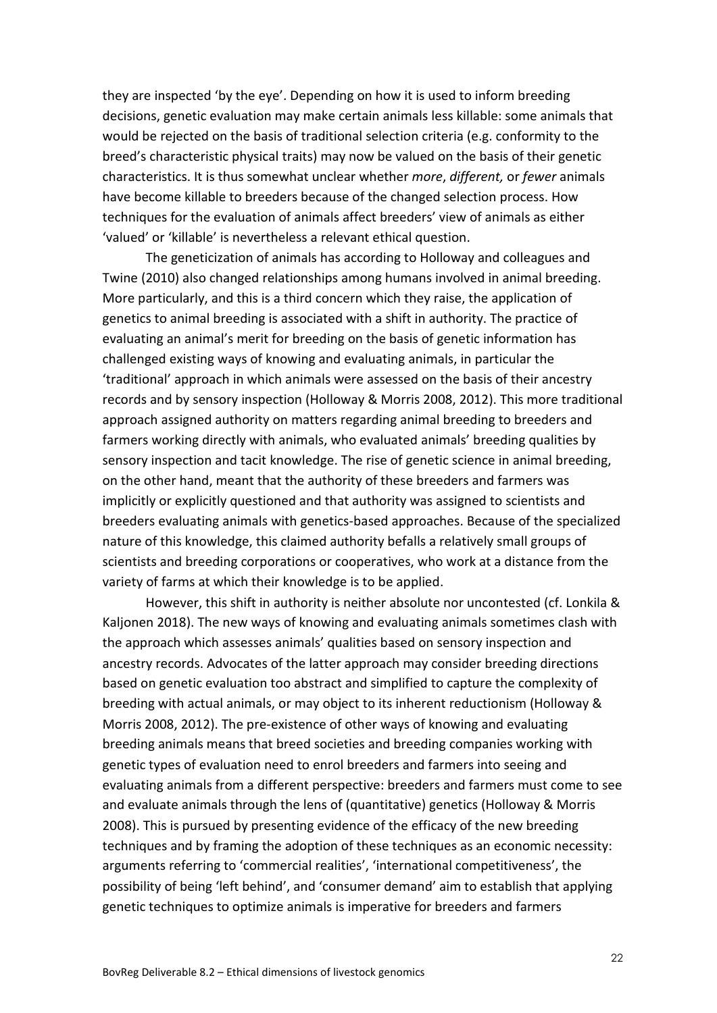they are inspected 'by the eye'. Depending on how it is used to inform breeding decisions, genetic evaluation may make certain animals less killable: some animals that would be rejected on the basis of traditional selection criteria (e.g. conformity to the breed's characteristic physical traits) may now be valued on the basis of their genetic characteristics. It is thus somewhat unclear whether *more*, *different,* or *fewer* animals have become killable to breeders because of the changed selection process. How techniques for the evaluation of animals affect breeders' view of animals as either 'valued' or 'killable' is nevertheless a relevant ethical question.

The geneticization of animals has according to Holloway and colleagues and Twine (2010) also changed relationships among humans involved in animal breeding. More particularly, and this is a third concern which they raise, the application of genetics to animal breeding is associated with a shift in authority. The practice of evaluating an animal's merit for breeding on the basis of genetic information has challenged existing ways of knowing and evaluating animals, in particular the 'traditional' approach in which animals were assessed on the basis of their ancestry records and by sensory inspection (Holloway & Morris 2008, 2012). This more traditional approach assigned authority on matters regarding animal breeding to breeders and farmers working directly with animals, who evaluated animals' breeding qualities by sensory inspection and tacit knowledge. The rise of genetic science in animal breeding, on the other hand, meant that the authority of these breeders and farmers was implicitly or explicitly questioned and that authority was assigned to scientists and breeders evaluating animals with genetics-based approaches. Because of the specialized nature of this knowledge, this claimed authority befalls a relatively small groups of scientists and breeding corporations or cooperatives, who work at a distance from the variety of farms at which their knowledge is to be applied.

However, this shift in authority is neither absolute nor uncontested (cf. Lonkila & Kaljonen 2018). The new ways of knowing and evaluating animals sometimes clash with the approach which assesses animals' qualities based on sensory inspection and ancestry records. Advocates of the latter approach may consider breeding directions based on genetic evaluation too abstract and simplified to capture the complexity of breeding with actual animals, or may object to its inherent reductionism (Holloway & Morris 2008, 2012). The pre-existence of other ways of knowing and evaluating breeding animals means that breed societies and breeding companies working with genetic types of evaluation need to enrol breeders and farmers into seeing and evaluating animals from a different perspective: breeders and farmers must come to see and evaluate animals through the lens of (quantitative) genetics (Holloway & Morris 2008). This is pursued by presenting evidence of the efficacy of the new breeding techniques and by framing the adoption of these techniques as an economic necessity: arguments referring to 'commercial realities', 'international competitiveness', the possibility of being 'left behind', and 'consumer demand' aim to establish that applying genetic techniques to optimize animals is imperative for breeders and farmers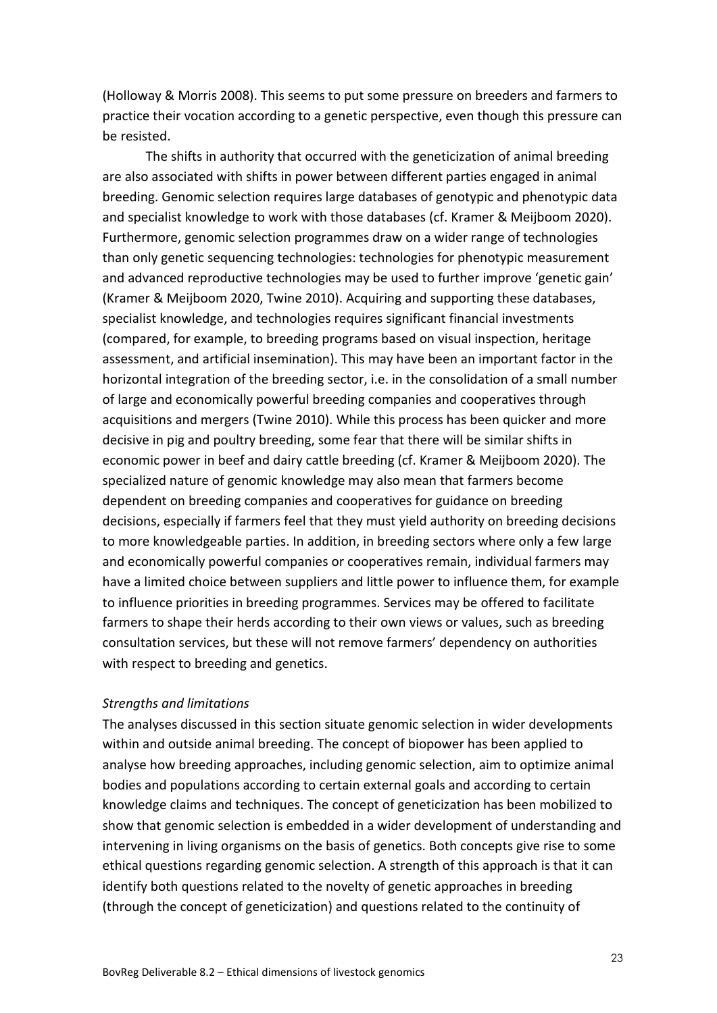(Holloway & Morris 2008). This seems to put some pressure on breeders and farmers to practice their vocation according to a genetic perspective, even though this pressure can be resisted.

The shifts in authority that occurred with the geneticization of animal breeding are also associated with shifts in power between different parties engaged in animal breeding. Genomic selection requires large databases of genotypic and phenotypic data and specialist knowledge to work with those databases (cf. Kramer & Meijboom 2020). Furthermore, genomic selection programmes draw on a wider range of technologies than only genetic sequencing technologies: technologies for phenotypic measurement and advanced reproductive technologies may be used to further improve 'genetic gain' (Kramer & Meijboom 2020, Twine 2010). Acquiring and supporting these databases, specialist knowledge, and technologies requires significant financial investments (compared, for example, to breeding programs based on visual inspection, heritage assessment, and artificial insemination). This may have been an important factor in the horizontal integration of the breeding sector, i.e. in the consolidation of a small number of large and economically powerful breeding companies and cooperatives through acquisitions and mergers (Twine 2010). While this process has been quicker and more decisive in pig and poultry breeding, some fear that there will be similar shifts in economic power in beef and dairy cattle breeding (cf. Kramer & Meijboom 2020). The specialized nature of genomic knowledge may also mean that farmers become dependent on breeding companies and cooperatives for guidance on breeding decisions, especially if farmers feel that they must yield authority on breeding decisions to more knowledgeable parties. In addition, in breeding sectors where only a few large and economically powerful companies or cooperatives remain, individual farmers may have a limited choice between suppliers and little power to influence them, for example to influence priorities in breeding programmes. Services may be offered to facilitate farmers to shape their herds according to their own views or values, such as breeding consultation services, but these will not remove farmers' dependency on authorities with respect to breeding and genetics.

#### *Strengths and limitations*

The analyses discussed in this section situate genomic selection in wider developments within and outside animal breeding. The concept of biopower has been applied to analyse how breeding approaches, including genomic selection, aim to optimize animal bodies and populations according to certain external goals and according to certain knowledge claims and techniques. The concept of geneticization has been mobilized to show that genomic selection is embedded in a wider development of understanding and intervening in living organisms on the basis of genetics. Both concepts give rise to some ethical questions regarding genomic selection. A strength of this approach is that it can identify both questions related to the novelty of genetic approaches in breeding (through the concept of geneticization) and questions related to the continuity of

23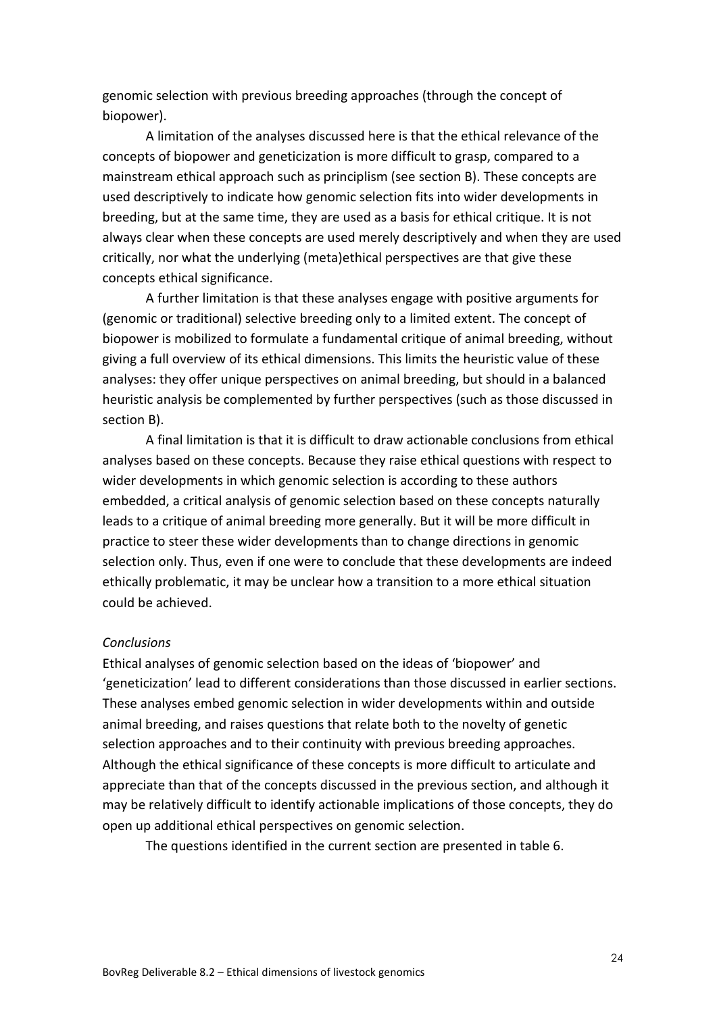genomic selection with previous breeding approaches (through the concept of biopower).

A limitation of the analyses discussed here is that the ethical relevance of the concepts of biopower and geneticization is more difficult to grasp, compared to a mainstream ethical approach such as principlism (see section B). These concepts are used descriptively to indicate how genomic selection fits into wider developments in breeding, but at the same time, they are used as a basis for ethical critique. It is not always clear when these concepts are used merely descriptively and when they are used critically, nor what the underlying (meta)ethical perspectives are that give these concepts ethical significance.

A further limitation is that these analyses engage with positive arguments for (genomic or traditional) selective breeding only to a limited extent. The concept of biopower is mobilized to formulate a fundamental critique of animal breeding, without giving a full overview of its ethical dimensions. This limits the heuristic value of these analyses: they offer unique perspectives on animal breeding, but should in a balanced heuristic analysis be complemented by further perspectives (such as those discussed in section B).

A final limitation is that it is difficult to draw actionable conclusions from ethical analyses based on these concepts. Because they raise ethical questions with respect to wider developments in which genomic selection is according to these authors embedded, a critical analysis of genomic selection based on these concepts naturally leads to a critique of animal breeding more generally. But it will be more difficult in practice to steer these wider developments than to change directions in genomic selection only. Thus, even if one were to conclude that these developments are indeed ethically problematic, it may be unclear how a transition to a more ethical situation could be achieved.

#### *Conclusions*

Ethical analyses of genomic selection based on the ideas of 'biopower' and 'geneticization' lead to different considerations than those discussed in earlier sections. These analyses embed genomic selection in wider developments within and outside animal breeding, and raises questions that relate both to the novelty of genetic selection approaches and to their continuity with previous breeding approaches. Although the ethical significance of these concepts is more difficult to articulate and appreciate than that of the concepts discussed in the previous section, and although it may be relatively difficult to identify actionable implications of those concepts, they do open up additional ethical perspectives on genomic selection.

The questions identified in the current section are presented in table 6.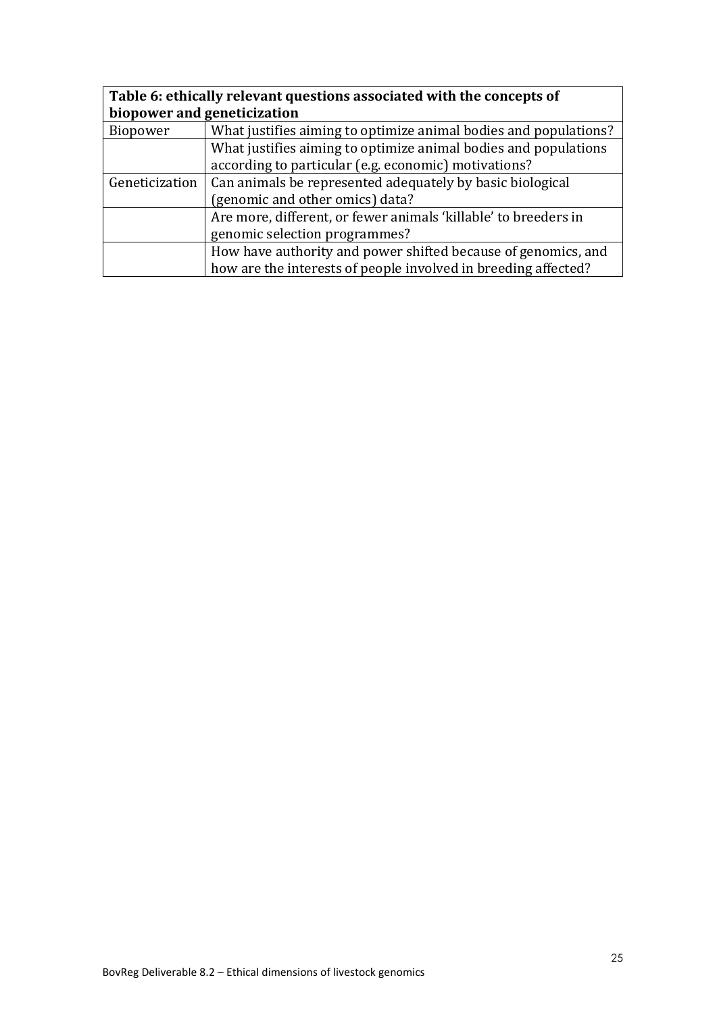| Table 6: ethically relevant questions associated with the concepts of |                                                                  |  |  |
|-----------------------------------------------------------------------|------------------------------------------------------------------|--|--|
| biopower and geneticization                                           |                                                                  |  |  |
| Biopower                                                              | What justifies aiming to optimize animal bodies and populations? |  |  |
|                                                                       | What justifies aiming to optimize animal bodies and populations  |  |  |
|                                                                       | according to particular (e.g. economic) motivations?             |  |  |
| Geneticization                                                        | Can animals be represented adequately by basic biological        |  |  |
|                                                                       | (genomic and other omics) data?                                  |  |  |
|                                                                       | Are more, different, or fewer animals 'killable' to breeders in  |  |  |
|                                                                       | genomic selection programmes?                                    |  |  |
|                                                                       | How have authority and power shifted because of genomics, and    |  |  |
|                                                                       | how are the interests of people involved in breeding affected?   |  |  |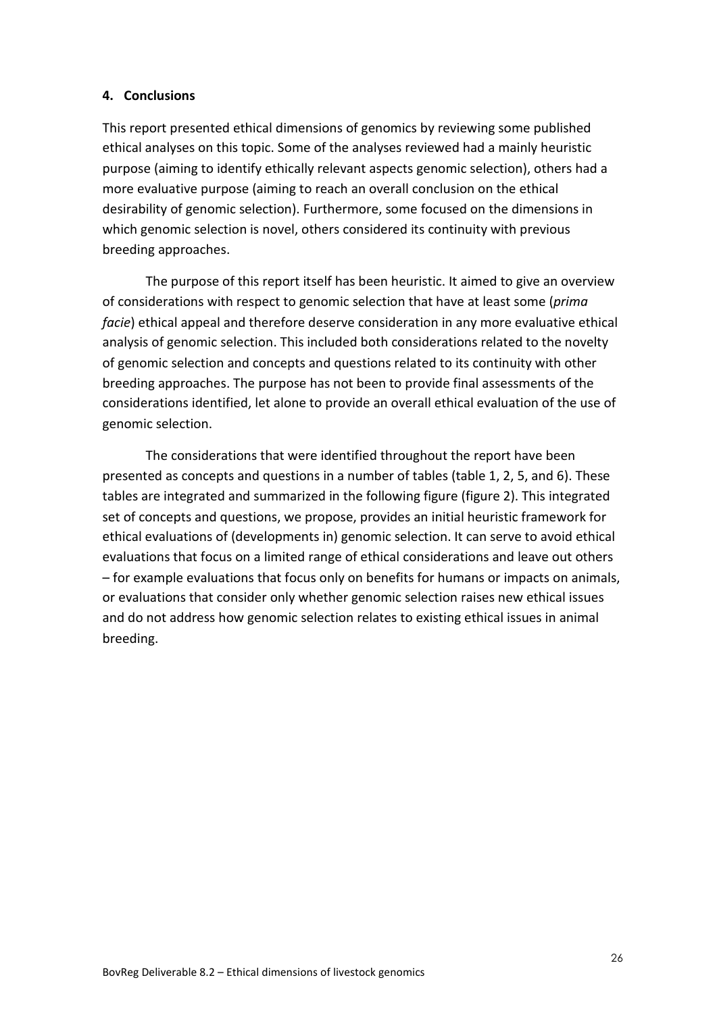#### **4. Conclusions**

This report presented ethical dimensions of genomics by reviewing some published ethical analyses on this topic. Some of the analyses reviewed had a mainly heuristic purpose (aiming to identify ethically relevant aspects genomic selection), others had a more evaluative purpose (aiming to reach an overall conclusion on the ethical desirability of genomic selection). Furthermore, some focused on the dimensions in which genomic selection is novel, others considered its continuity with previous breeding approaches.

The purpose of this report itself has been heuristic. It aimed to give an overview of considerations with respect to genomic selection that have at least some (*prima facie*) ethical appeal and therefore deserve consideration in any more evaluative ethical analysis of genomic selection. This included both considerations related to the novelty of genomic selection and concepts and questions related to its continuity with other breeding approaches. The purpose has not been to provide final assessments of the considerations identified, let alone to provide an overall ethical evaluation of the use of genomic selection.

The considerations that were identified throughout the report have been presented as concepts and questions in a number of tables (table 1, 2, 5, and 6). These tables are integrated and summarized in the following figure (figure 2). This integrated set of concepts and questions, we propose, provides an initial heuristic framework for ethical evaluations of (developments in) genomic selection. It can serve to avoid ethical evaluations that focus on a limited range of ethical considerations and leave out others – for example evaluations that focus only on benefits for humans or impacts on animals, or evaluations that consider only whether genomic selection raises new ethical issues and do not address how genomic selection relates to existing ethical issues in animal breeding.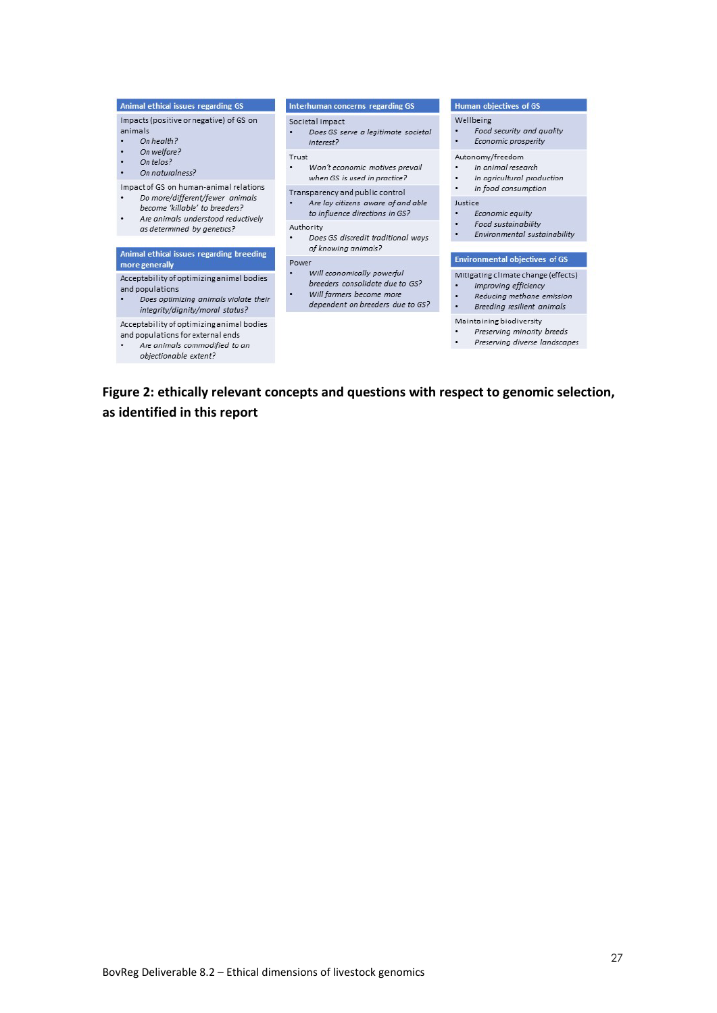| Animal ethical issues regarding GS                                                                                                       | Interhuman concerns regarding GS                                                                                                   | <b>Human objectives of GS</b>                                                                                               |
|------------------------------------------------------------------------------------------------------------------------------------------|------------------------------------------------------------------------------------------------------------------------------------|-----------------------------------------------------------------------------------------------------------------------------|
| Impacts (positive or negative) of GS on<br>animals<br>On health?<br>On welfare?<br>On telos?<br>٠<br>On naturalness?                     | Societal impact<br>Does GS serve a legitimate societal<br>interest?                                                                | Wellbeing<br>Food security and quality<br>Economic prosperity                                                               |
|                                                                                                                                          | Trust<br>Won't economic motives prevail<br>when GS is used in practice?                                                            | Autonomy/freedom<br>In animal research<br>In agricultural production<br>٠                                                   |
| Impact of GS on human-animal relations                                                                                                   | Transparency and public control                                                                                                    | In food consumption                                                                                                         |
| Do more/different/fewer animals<br>become 'killable' to breeders?<br>Are animals understood reductively<br>as determined by genetics?    | Are lay citizens aware of and able<br>to influence directions in GS?                                                               | Justice<br>Economic equity                                                                                                  |
|                                                                                                                                          | Authority<br>Does GS discredit traditional ways<br>of knowing animals?                                                             | Food sustainability<br>٠<br>Environmental sustainability                                                                    |
| Animal ethical issues regarding breeding<br>more generally                                                                               | Power                                                                                                                              | <b>Environmental objectives of GS</b>                                                                                       |
| Acceptability of optimizing animal bodies<br>and populations<br>Does optimizing animals violate their<br>integrity/dignity/moral status? | Will economically powerful<br>breeders consolidate due to GS?<br>Will farmers become more<br>٠<br>dependent on breeders due to GS? | Mitigating climate change (effects)<br>Improving efficiency<br>Reducing methane emission<br>Breeding resilient animals<br>٠ |
| Acceptability of optimizing animal bodies<br>and populations for external ends                                                           |                                                                                                                                    | Maintaining biodiversity<br>Preserving minority breeds                                                                      |

Are animals commodified to an objectionable extent?

×

• Preserving diverse landscapes

<span id="page-27-0"></span>**Figure 2: ethically relevant concepts and questions with respect to genomic selection, as identified in this report**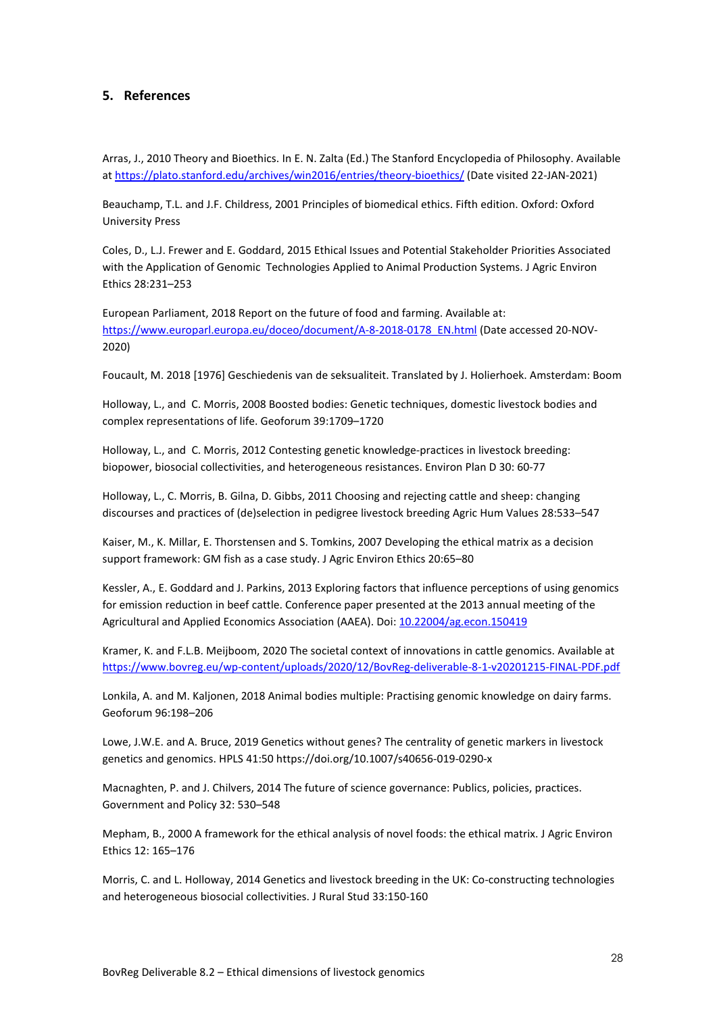#### <span id="page-28-0"></span>**5. References**

Arras, J., 2010 Theory and Bioethics. In E. N. Zalta (Ed.) The Stanford Encyclopedia of Philosophy. Available at <https://plato.stanford.edu/archives/win2016/entries/theory-bioethics/> (Date visited 22-JAN-2021)

Beauchamp, T.L. and J.F. Childress, 2001 Principles of biomedical ethics. Fifth edition. Oxford: Oxford University Press

Coles, D., L.J. Frewer and E. Goddard, 2015 Ethical Issues and Potential Stakeholder Priorities Associated with the Application of Genomic Technologies Applied to Animal Production Systems. J Agric Environ Ethics 28:231–253

European Parliament, 2018 Report on the future of food and farming. Available at: [https://www.europarl.europa.eu/doceo/document/A-8-2018-0178\\_EN.html](https://www.europarl.europa.eu/doceo/document/A-8-2018-0178_EN.html) (Date accessed 20-NOV-2020)

Foucault, M. 2018 [1976] Geschiedenis van de seksualiteit. Translated by J. Holierhoek. Amsterdam: Boom

Holloway, L., and C. Morris, 2008 Boosted bodies: Genetic techniques, domestic livestock bodies and complex representations of life. Geoforum 39:1709–1720

Holloway, L., and C. Morris, 2012 Contesting genetic knowledge-practices in livestock breeding: biopower, biosocial collectivities, and heterogeneous resistances. Environ Plan D 30: 60-77

Holloway, L., C. Morris, B. Gilna, D. Gibbs, 2011 Choosing and rejecting cattle and sheep: changing discourses and practices of (de)selection in pedigree livestock breeding Agric Hum Values 28:533–547

Kaiser, M., K. Millar, E. Thorstensen and S. Tomkins, 2007 Developing the ethical matrix as a decision support framework: GM fish as a case study. J Agric Environ Ethics 20:65–80

Kessler, A., E. Goddard and J. Parkins, 2013 Exploring factors that influence perceptions of using genomics for emission reduction in beef cattle. Conference paper presented at the 2013 annual meeting of the Agricultural and Applied Economics Association (AAEA). Doi[: 10.22004/ag.econ.150419](http://dx.doi.org/10.22004/ag.econ.150419)

Kramer, K. and F.L.B. Meijboom, 2020 The societal context of innovations in cattle genomics. Available at <https://www.bovreg.eu/wp-content/uploads/2020/12/BovReg-deliverable-8-1-v20201215-FINAL-PDF.pdf>

Lonkila, A. and M. Kaljonen, 2018 Animal bodies multiple: Practising genomic knowledge on dairy farms. Geoforum 96:198–206

Lowe, J.W.E. and A. Bruce, 2019 Genetics without genes? The centrality of genetic markers in livestock genetics and genomics. HPLS 41:50 https://doi.org/10.1007/s40656-019-0290-x

Macnaghten, P. and J. Chilvers, 2014 The future of science governance: Publics, policies, practices. Government and Policy 32: 530–548

Mepham, B., 2000 A framework for the ethical analysis of novel foods: the ethical matrix. J Agric Environ Ethics 12: 165–176

Morris, C. and L. Holloway, 2014 Genetics and livestock breeding in the UK: Co-constructing technologies and heterogeneous biosocial collectivities. J Rural Stud 33:150-160